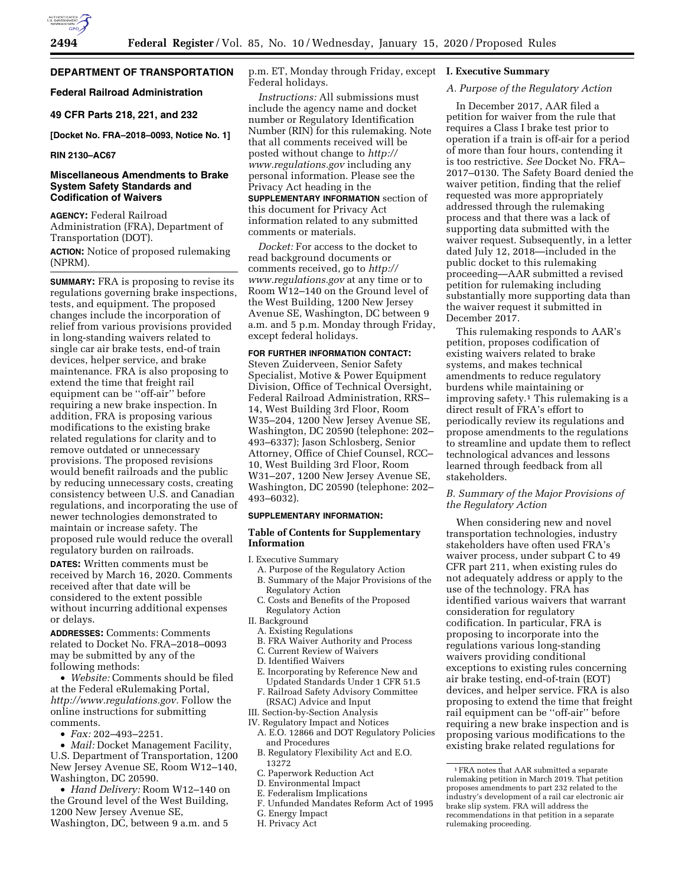# **DEPARTMENT OF TRANSPORTATION**

## **Federal Railroad Administration**

## **49 CFR Parts 218, 221, and 232**

**[Docket No. FRA–2018–0093, Notice No. 1]** 

#### **RIN 2130–AC67**

## **Miscellaneous Amendments to Brake System Safety Standards and Codification of Waivers**

**AGENCY:** Federal Railroad Administration (FRA), Department of Transportation (DOT).

**ACTION:** Notice of proposed rulemaking (NPRM).

**SUMMARY:** FRA is proposing to revise its regulations governing brake inspections, tests, and equipment. The proposed changes include the incorporation of relief from various provisions provided in long-standing waivers related to single car air brake tests, end-of train devices, helper service, and brake maintenance. FRA is also proposing to extend the time that freight rail equipment can be ''off-air'' before requiring a new brake inspection. In addition, FRA is proposing various modifications to the existing brake related regulations for clarity and to remove outdated or unnecessary provisions. The proposed revisions would benefit railroads and the public by reducing unnecessary costs, creating consistency between U.S. and Canadian regulations, and incorporating the use of newer technologies demonstrated to maintain or increase safety. The proposed rule would reduce the overall regulatory burden on railroads.

**DATES:** Written comments must be received by March 16, 2020. Comments received after that date will be considered to the extent possible without incurring additional expenses or delays.

**ADDRESSES:** Comments: Comments related to Docket No. FRA–2018–0093 may be submitted by any of the following methods:

• *Website:* Comments should be filed at the Federal eRulemaking Portal, *[http://www.regulations.gov.](http://www.regulations.gov)* Follow the online instructions for submitting comments.

• *Fax:* 202–493–2251.

• *Mail:* Docket Management Facility, U.S. Department of Transportation, 1200 New Jersey Avenue SE, Room W12–140, Washington, DC 20590.

• *Hand Delivery:* Room W12–140 on the Ground level of the West Building, 1200 New Jersey Avenue SE, Washington, DC, between 9 a.m. and 5

p.m. ET, Monday through Friday, except Federal holidays.

*Instructions:* All submissions must include the agency name and docket number or Regulatory Identification Number (RIN) for this rulemaking. Note that all comments received will be posted without change to *[http://](http://www.regulations.gov) [www.regulations.gov](http://www.regulations.gov)* including any personal information. Please see the Privacy Act heading in the

**SUPPLEMENTARY INFORMATION** section of this document for Privacy Act information related to any submitted comments or materials.

*Docket:* For access to the docket to read background documents or comments received, go to *[http://](http://www.regulations.gov) [www.regulations.gov](http://www.regulations.gov)* at any time or to Room W12–140 on the Ground level of the West Building, 1200 New Jersey Avenue SE, Washington, DC between 9 a.m. and 5 p.m. Monday through Friday, except federal holidays.

## **FOR FURTHER INFORMATION CONTACT:**

Steven Zuiderveen, Senior Safety Specialist, Motive & Power Equipment Division, Office of Technical Oversight, Federal Railroad Administration, RRS– 14, West Building 3rd Floor, Room W35–204, 1200 New Jersey Avenue SE, Washington, DC 20590 (telephone: 202– 493–6337); Jason Schlosberg, Senior Attorney, Office of Chief Counsel, RCC– 10, West Building 3rd Floor, Room W31–207, 1200 New Jersey Avenue SE, Washington, DC 20590 (telephone: 202– 493–6032).

## **SUPPLEMENTARY INFORMATION:**

## **Table of Contents for Supplementary Information**

I. Executive Summary

- A. Purpose of the Regulatory Action B. Summary of the Major Provisions of the
- Regulatory Action C. Costs and Benefits of the Proposed Regulatory Action
- II. Background
	- A. Existing Regulations
	- B. FRA Waiver Authority and Process
	- C. Current Review of Waivers
	- D. Identified Waivers
	- E. Incorporating by Reference New and Updated Standards Under 1 CFR 51.5
	- F. Railroad Safety Advisory Committee
- (RSAC) Advice and Input
- III. Section-by-Section Analysis
- IV. Regulatory Impact and Notices A. E.O. 12866 and DOT Regulatory Policies and Procedures
	- B. Regulatory Flexibility Act and E.O. 13272
	- C. Paperwork Reduction Act
	- D. Environmental Impact
	- E. Federalism Implications
	- F. Unfunded Mandates Reform Act of 1995
	- G. Energy Impact
	- H. Privacy Act

## **I. Executive Summary**

## *A. Purpose of the Regulatory Action*

In December 2017, AAR filed a petition for waiver from the rule that requires a Class I brake test prior to operation if a train is off-air for a period of more than four hours, contending it is too restrictive. *See* Docket No. FRA– 2017–0130. The Safety Board denied the waiver petition, finding that the relief requested was more appropriately addressed through the rulemaking process and that there was a lack of supporting data submitted with the waiver request. Subsequently, in a letter dated July 12, 2018—included in the public docket to this rulemaking proceeding—AAR submitted a revised petition for rulemaking including substantially more supporting data than the waiver request it submitted in December 2017.

This rulemaking responds to AAR's petition, proposes codification of existing waivers related to brake systems, and makes technical amendments to reduce regulatory burdens while maintaining or improving safety.1 This rulemaking is a direct result of FRA's effort to periodically review its regulations and propose amendments to the regulations to streamline and update them to reflect technological advances and lessons learned through feedback from all stakeholders.

## *B. Summary of the Major Provisions of the Regulatory Action*

When considering new and novel transportation technologies, industry stakeholders have often used FRA's waiver process, under subpart C to 49 CFR part 211, when existing rules do not adequately address or apply to the use of the technology. FRA has identified various waivers that warrant consideration for regulatory codification. In particular, FRA is proposing to incorporate into the regulations various long-standing waivers providing conditional exceptions to existing rules concerning air brake testing, end-of-train (EOT) devices, and helper service. FRA is also proposing to extend the time that freight rail equipment can be ''off-air'' before requiring a new brake inspection and is proposing various modifications to the existing brake related regulations for

<sup>1</sup>FRA notes that AAR submitted a separate rulemaking petition in March 2019. That petition proposes amendments to part 232 related to the industry's development of a rail car electronic air brake slip system. FRA will address the recommendations in that petition in a separate rulemaking proceeding.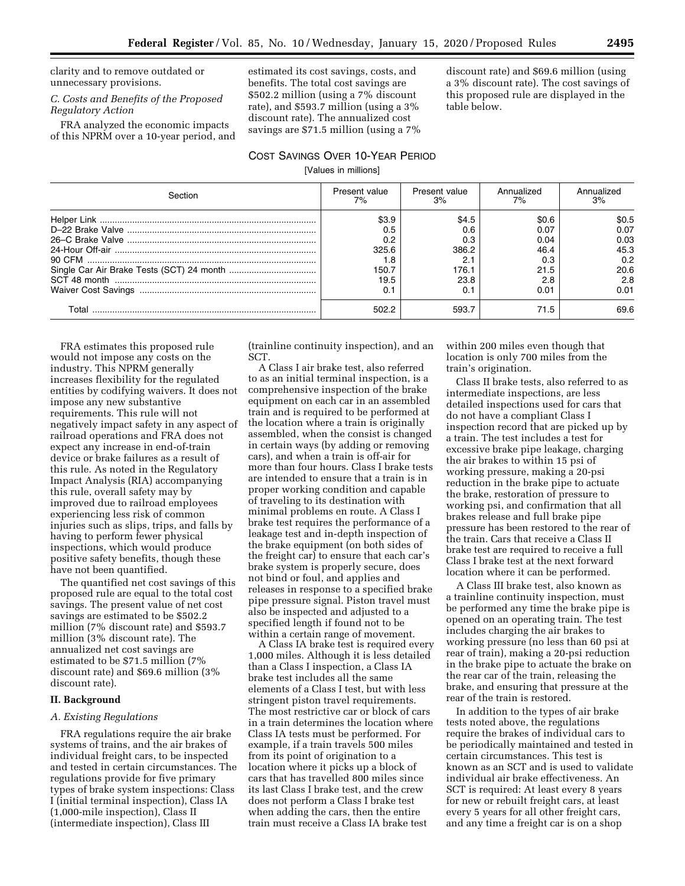clarity and to remove outdated or unnecessary provisions.

## *C. Costs and Benefits of the Proposed Regulatory Action*

FRA analyzed the economic impacts of this NPRM over a 10-year period, and estimated its cost savings, costs, and benefits. The total cost savings are \$502.2 million (using a 7% discount rate), and \$593.7 million (using a 3% discount rate). The annualized cost savings are \$71.5 million (using a 7% discount rate) and \$69.6 million (using a 3% discount rate). The cost savings of this proposed rule are displayed in the table below.

# COST SAVINGS OVER 10-YEAR PERIOD

[Values in millions]

| Section | Present value<br>7% | Present value<br>3% | Annualized<br>7% | Annualized<br>3% |
|---------|---------------------|---------------------|------------------|------------------|
|         | \$3.9               | \$4.5               | \$0.6            | \$0.5            |
|         | 0.5                 | 0.6                 | 0.07             | 0.07             |
|         | 0.2                 | 0.3                 | 0.04             | 0.03             |
|         | 325.6               | 386.2               | 46.4             | 45.3             |
|         | 1.8                 | 2.1                 | 0.3              | 0.2              |
|         | 150.7               | 176.1               | 21.5             | 20.6             |
|         | 19.5                | 23.8                | 2.8              | 2.8              |
|         |                     | 0.1                 | 0.01             | 0.01             |
| T∩tal   | 502.2               | 593.7               | 71.5             | 69.6             |

FRA estimates this proposed rule would not impose any costs on the industry. This NPRM generally increases flexibility for the regulated entities by codifying waivers. It does not impose any new substantive requirements. This rule will not negatively impact safety in any aspect of railroad operations and FRA does not expect any increase in end-of-train device or brake failures as a result of this rule. As noted in the Regulatory Impact Analysis (RIA) accompanying this rule, overall safety may by improved due to railroad employees experiencing less risk of common injuries such as slips, trips, and falls by having to perform fewer physical inspections, which would produce positive safety benefits, though these have not been quantified.

The quantified net cost savings of this proposed rule are equal to the total cost savings. The present value of net cost savings are estimated to be \$502.2 million (7% discount rate) and \$593.7 million (3% discount rate). The annualized net cost savings are estimated to be \$71.5 million (7% discount rate) and \$69.6 million (3% discount rate).

## **II. Background**

#### *A. Existing Regulations*

FRA regulations require the air brake systems of trains, and the air brakes of individual freight cars, to be inspected and tested in certain circumstances. The regulations provide for five primary types of brake system inspections: Class I (initial terminal inspection), Class IA (1,000-mile inspection), Class II (intermediate inspection), Class III

(trainline continuity inspection), and an SCT.

A Class I air brake test, also referred to as an initial terminal inspection, is a comprehensive inspection of the brake equipment on each car in an assembled train and is required to be performed at the location where a train is originally assembled, when the consist is changed in certain ways (by adding or removing cars), and when a train is off-air for more than four hours. Class I brake tests are intended to ensure that a train is in proper working condition and capable of traveling to its destination with minimal problems en route. A Class I brake test requires the performance of a leakage test and in-depth inspection of the brake equipment (on both sides of the freight car) to ensure that each car's brake system is properly secure, does not bind or foul, and applies and releases in response to a specified brake pipe pressure signal. Piston travel must also be inspected and adjusted to a specified length if found not to be within a certain range of movement.

A Class IA brake test is required every 1,000 miles. Although it is less detailed than a Class I inspection, a Class IA brake test includes all the same elements of a Class I test, but with less stringent piston travel requirements. The most restrictive car or block of cars in a train determines the location where Class IA tests must be performed. For example, if a train travels 500 miles from its point of origination to a location where it picks up a block of cars that has travelled 800 miles since its last Class I brake test, and the crew does not perform a Class I brake test when adding the cars, then the entire train must receive a Class IA brake test

within 200 miles even though that location is only 700 miles from the train's origination.

Class II brake tests, also referred to as intermediate inspections, are less detailed inspections used for cars that do not have a compliant Class I inspection record that are picked up by a train. The test includes a test for excessive brake pipe leakage, charging the air brakes to within 15 psi of working pressure, making a 20-psi reduction in the brake pipe to actuate the brake, restoration of pressure to working psi, and confirmation that all brakes release and full brake pipe pressure has been restored to the rear of the train. Cars that receive a Class II brake test are required to receive a full Class I brake test at the next forward location where it can be performed.

A Class III brake test, also known as a trainline continuity inspection, must be performed any time the brake pipe is opened on an operating train. The test includes charging the air brakes to working pressure (no less than 60 psi at rear of train), making a 20-psi reduction in the brake pipe to actuate the brake on the rear car of the train, releasing the brake, and ensuring that pressure at the rear of the train is restored.

In addition to the types of air brake tests noted above, the regulations require the brakes of individual cars to be periodically maintained and tested in certain circumstances. This test is known as an SCT and is used to validate individual air brake effectiveness. An SCT is required: At least every 8 years for new or rebuilt freight cars, at least every 5 years for all other freight cars, and any time a freight car is on a shop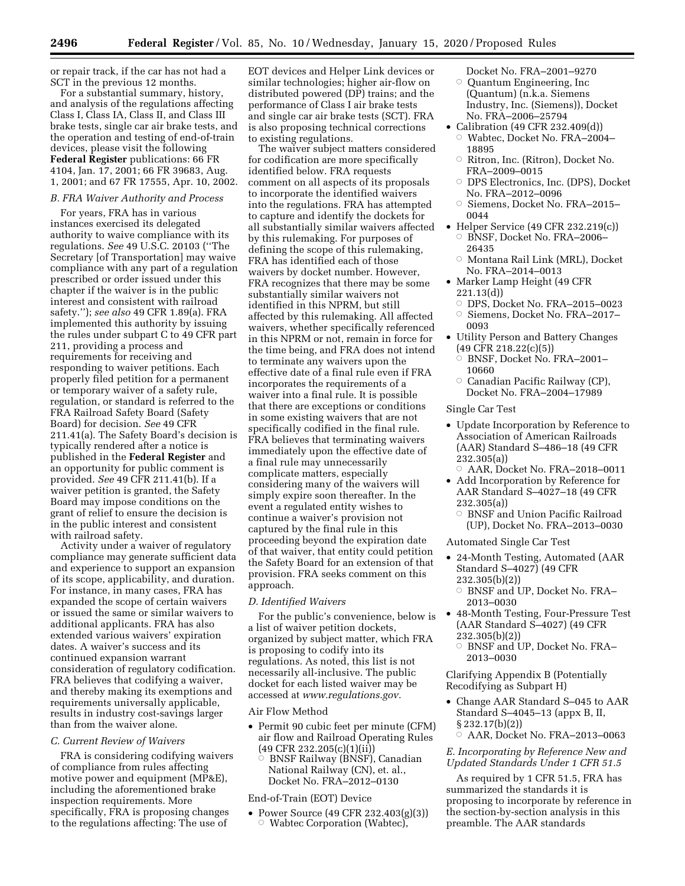or repair track, if the car has not had a SCT in the previous 12 months.

For a substantial summary, history, and analysis of the regulations affecting Class I, Class IA, Class II, and Class III brake tests, single car air brake tests, and the operation and testing of end-of-train devices, please visit the following **Federal Register** publications: 66 FR 4104, Jan. 17, 2001; 66 FR 39683, Aug. 1, 2001; and 67 FR 17555, Apr. 10, 2002.

#### *B. FRA Waiver Authority and Process*

For years, FRA has in various instances exercised its delegated authority to waive compliance with its regulations. *See* 49 U.S.C. 20103 (''The Secretary [of Transportation] may waive compliance with any part of a regulation prescribed or order issued under this chapter if the waiver is in the public interest and consistent with railroad safety.''); *see also* 49 CFR 1.89(a). FRA implemented this authority by issuing the rules under subpart C to 49 CFR part 211, providing a process and requirements for receiving and responding to waiver petitions. Each properly filed petition for a permanent or temporary waiver of a safety rule, regulation, or standard is referred to the FRA Railroad Safety Board (Safety Board) for decision. *See* 49 CFR 211.41(a). The Safety Board's decision is typically rendered after a notice is published in the **Federal Register** and an opportunity for public comment is provided. *See* 49 CFR 211.41(b). If a waiver petition is granted, the Safety Board may impose conditions on the grant of relief to ensure the decision is in the public interest and consistent with railroad safety.

Activity under a waiver of regulatory compliance may generate sufficient data and experience to support an expansion of its scope, applicability, and duration. For instance, in many cases, FRA has expanded the scope of certain waivers or issued the same or similar waivers to additional applicants. FRA has also extended various waivers' expiration dates. A waiver's success and its continued expansion warrant consideration of regulatory codification. FRA believes that codifying a waiver, and thereby making its exemptions and requirements universally applicable, results in industry cost-savings larger than from the waiver alone.

## *C. Current Review of Waivers*

FRA is considering codifying waivers of compliance from rules affecting motive power and equipment (MP&E), including the aforementioned brake inspection requirements. More specifically, FRA is proposing changes to the regulations affecting: The use of

EOT devices and Helper Link devices or similar technologies; higher air-flow on distributed powered (DP) trains; and the performance of Class I air brake tests and single car air brake tests (SCT). FRA is also proposing technical corrections to existing regulations.

The waiver subject matters considered for codification are more specifically identified below. FRA requests comment on all aspects of its proposals to incorporate the identified waivers into the regulations. FRA has attempted to capture and identify the dockets for all substantially similar waivers affected by this rulemaking. For purposes of defining the scope of this rulemaking, FRA has identified each of those waivers by docket number. However, FRA recognizes that there may be some substantially similar waivers not identified in this NPRM, but still affected by this rulemaking. All affected waivers, whether specifically referenced in this NPRM or not, remain in force for the time being, and FRA does not intend to terminate any waivers upon the effective date of a final rule even if FRA incorporates the requirements of a waiver into a final rule. It is possible that there are exceptions or conditions in some existing waivers that are not specifically codified in the final rule. FRA believes that terminating waivers immediately upon the effective date of a final rule may unnecessarily complicate matters, especially considering many of the waivers will simply expire soon thereafter. In the event a regulated entity wishes to continue a waiver's provision not captured by the final rule in this proceeding beyond the expiration date of that waiver, that entity could petition the Safety Board for an extension of that provision. FRA seeks comment on this approach.

#### *D. Identified Waivers*

For the public's convenience, below is a list of waiver petition dockets, organized by subject matter, which FRA is proposing to codify into its regulations. As noted, this list is not necessarily all-inclusive. The public docket for each listed waiver may be accessed at *[www.regulations.gov.](http://www.regulations.gov)* 

#### Air Flow Method

- Permit 90 cubic feet per minute (CFM) air flow and Railroad Operating Rules (49 CFR 232.205(c)(1)(ii))
	- Æ BNSF Railway (BNSF), Canadian National Railway (CN), et. al., Docket No. FRA–2012–0130

## End-of-Train (EOT) Device

• Power Source (49 CFR 232.403(g)(3))  $\circ$  Wabtec Corporation (Wabtec),

- Docket No. FRA–2001–9270 Æ Quantum Engineering, Inc (Quantum) (n.k.a. Siemens Industry, Inc. (Siemens)), Docket No. FRA–2006–25794
- Calibration (49 CFR 232.409(d))  $\circ$  Wabtec, Docket No. FRA–2004– 18895
	- $\circ$  Ritron, Inc. (Ritron), Docket No. FRA–2009–0015
	- Æ DPS Electronics, Inc. (DPS), Docket No. FRA–2012–0096
	- Æ Siemens, Docket No. FRA–2015– 0044
- Helper Service (49 CFR 232.219(c)) Æ BNSF, Docket No. FRA–2006– 26435
	- Æ Montana Rail Link (MRL), Docket No. FRA–2014–0013
- Marker Lamp Height (49 CFR 221.13(d))
	- Æ DPS, Docket No. FRA–2015–0023
	- Æ Siemens, Docket No. FRA–2017– 0093
- Utility Person and Battery Changes (49 CFR 218.22(c)(5))
	- $\circ$  BNSF, Docket No. FRA-2001-10660
	- $\circ$  Canadian Pacific Railway (CP), Docket No. FRA–2004–17989

## Single Car Test

- Update Incorporation by Reference to Association of American Railroads (AAR) Standard S–486–18 (49 CFR 232.305(a))
	- $\circ$  AAR, Docket No. FRA-2018-0011
- Add Incorporation by Reference for AAR Standard S–4027–18 (49 CFR 232.305(a))
	- Æ BNSF and Union Pacific Railroad (UP), Docket No. FRA–2013–0030
- Automated Single Car Test
- 24-Month Testing, Automated (AAR Standard S–4027) (49 CFR 232.305(b)(2))
	- Æ BNSF and UP, Docket No. FRA– 2013–0030
- 48-Month Testing, Four-Pressure Test (AAR Standard S–4027) (49 CFR 232.305(b)(2))
	- Æ BNSF and UP, Docket No. FRA– 2013–0030

Clarifying Appendix B (Potentially Recodifying as Subpart H)

- Change AAR Standard S–045 to AAR Standard S–4045–13 (appx B, II, § 232.17(b)(2))
	- ÆAAR, Docket No. FRA–2013–0063

### *E. Incorporating by Reference New and Updated Standards Under 1 CFR 51.5*

As required by 1 CFR 51.5, FRA has summarized the standards it is proposing to incorporate by reference in the section-by-section analysis in this preamble. The AAR standards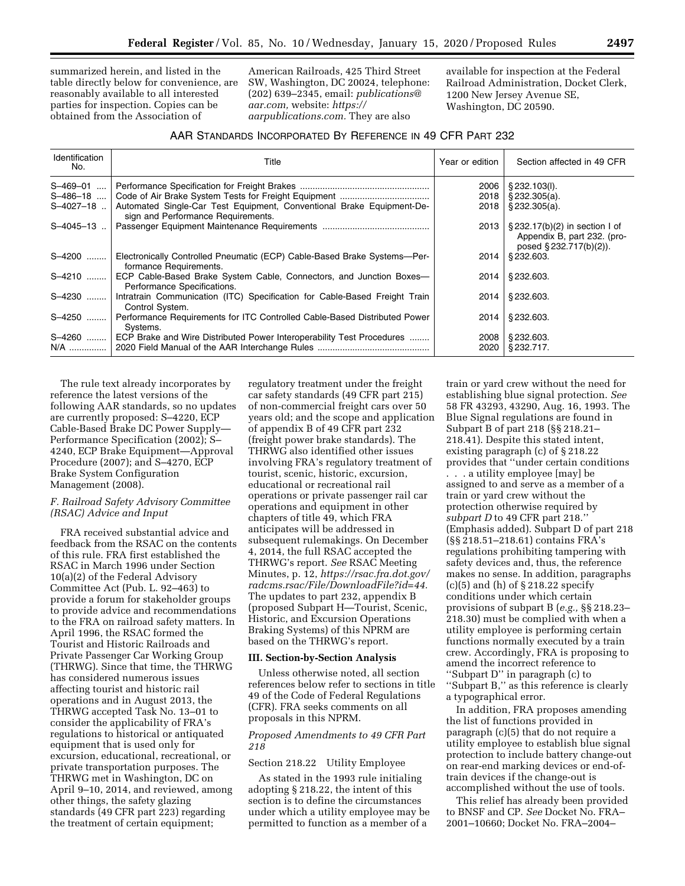summarized herein, and listed in the table directly below for convenience, are reasonably available to all interested parties for inspection. Copies can be obtained from the Association of

American Railroads, 425 Third Street SW, Washington, DC 20024, telephone: (202) 639–2345, email: *[publications@](mailto:publications@aar.com) [aar.com,](mailto:publications@aar.com)* website: *[https://](https://aarpublications.com) [aarpublications.com.](https://aarpublications.com)* They are also

available for inspection at the Federal Railroad Administration, Docket Clerk, 1200 New Jersey Avenue SE, Washington, DC 20590.

## AAR STANDARDS INCORPORATED BY REFERENCE IN 49 CFR PART 232

| Identification<br>No. | Title                                                                                                       | Year or edition | Section affected in 49 CFR                                                                             |
|-----------------------|-------------------------------------------------------------------------------------------------------------|-----------------|--------------------------------------------------------------------------------------------------------|
| $S-469-01$            |                                                                                                             | 2006            | § 232.103(I).                                                                                          |
| $S-486-18$            |                                                                                                             | 2018            | $\S$ 232.305(a).                                                                                       |
| $S-4027-18$ .         | Automated Single-Car Test Equipment, Conventional Brake Equipment-De-<br>sign and Performance Requirements. | 2018            | \$232.305(a).                                                                                          |
| $S-4045-13$           |                                                                                                             | 2013            | $\frac{1}{2}$ § 232.17(b)(2) in section I of<br>Appendix B, part 232. (pro-<br>posed § 232.717(b)(2)). |
| S-4200                | Electronically Controlled Pneumatic (ECP) Cable-Based Brake Systems-Per-<br>formance Requirements.          | 2014            | § 232.603.                                                                                             |
|                       | S-4210  ECP Cable-Based Brake System Cable, Connectors, and Junction Boxes-<br>Performance Specifications.  | 2014            | § 232.603.                                                                                             |
| S-4230                | Intratrain Communication (ITC) Specification for Cable-Based Freight Train<br>Control System.               | 2014            | § 232.603.                                                                                             |
| S-4250                | Performance Requirements for ITC Controlled Cable-Based Distributed Power<br>Systems.                       | 2014            | § 232.603.                                                                                             |
|                       | S-4260  ECP Brake and Wire Distributed Power Interoperability Test Procedures                               | 2008            | § 232.603.                                                                                             |
|                       |                                                                                                             | 2020            | § 232.717.                                                                                             |

The rule text already incorporates by reference the latest versions of the following AAR standards, so no updates are currently proposed: S–4220, ECP Cable-Based Brake DC Power Supply— Performance Specification (2002); S– 4240, ECP Brake Equipment—Approval Procedure (2007); and S–4270, ECP Brake System Configuration Management (2008).

## *F. Railroad Safety Advisory Committee (RSAC) Advice and Input*

FRA received substantial advice and feedback from the RSAC on the contents of this rule. FRA first established the RSAC in March 1996 under Section 10(a)(2) of the Federal Advisory Committee Act (Pub. L. 92–463) to provide a forum for stakeholder groups to provide advice and recommendations to the FRA on railroad safety matters. In April 1996, the RSAC formed the Tourist and Historic Railroads and Private Passenger Car Working Group (THRWG). Since that time, the THRWG has considered numerous issues affecting tourist and historic rail operations and in August 2013, the THRWG accepted Task No. 13–01 to consider the applicability of FRA's regulations to historical or antiquated equipment that is used only for excursion, educational, recreational, or private transportation purposes. The THRWG met in Washington, DC on April 9–10, 2014, and reviewed, among other things, the safety glazing standards (49 CFR part 223) regarding the treatment of certain equipment;

regulatory treatment under the freight car safety standards (49 CFR part 215) of non-commercial freight cars over 50 years old; and the scope and application of appendix B of 49 CFR part 232 (freight power brake standards). The THRWG also identified other issues involving FRA's regulatory treatment of tourist, scenic, historic, excursion, educational or recreational rail operations or private passenger rail car operations and equipment in other chapters of title 49, which FRA anticipates will be addressed in subsequent rulemakings. On December 4, 2014, the full RSAC accepted the THRWG's report. *See* RSAC Meeting Minutes, p. 12, *[https://rsac.fra.dot.gov/](https://rsac.fra.dot.gov/radcms.rsac/File/DownloadFile?id=44) [radcms.rsac/File/DownloadFile?id=44.](https://rsac.fra.dot.gov/radcms.rsac/File/DownloadFile?id=44)*  The updates to part 232, appendix B (proposed Subpart H—Tourist, Scenic, Historic, and Excursion Operations Braking Systems) of this NPRM are based on the THRWG's report.

## **III. Section-by-Section Analysis**

Unless otherwise noted, all section references below refer to sections in title 49 of the Code of Federal Regulations (CFR). FRA seeks comments on all proposals in this NPRM.

## *Proposed Amendments to 49 CFR Part 218*

## Section 218.22 Utility Employee

As stated in the 1993 rule initialing adopting § 218.22, the intent of this section is to define the circumstances under which a utility employee may be permitted to function as a member of a

train or yard crew without the need for establishing blue signal protection. *See*  58 FR 43293, 43290, Aug. 16, 1993. The Blue Signal regulations are found in Subpart B of part 218 (§§ 218.21– 218.41). Despite this stated intent, existing paragraph (c) of § 218.22 provides that ''under certain conditions . . . a utility employee [may] be assigned to and serve as a member of a train or yard crew without the protection otherwise required by *subpart D* to 49 CFR part 218.'' (Emphasis added). Subpart D of part 218 (§§ 218.51–218.61) contains FRA's regulations prohibiting tampering with safety devices and, thus, the reference makes no sense. In addition, paragraphs (c)(5) and (h) of § 218.22 specify conditions under which certain provisions of subpart B (*e.g.,* §§ 218.23– 218.30) must be complied with when a utility employee is performing certain functions normally executed by a train crew. Accordingly, FRA is proposing to amend the incorrect reference to ''Subpart D'' in paragraph (c) to ''Subpart B,'' as this reference is clearly a typographical error.

In addition, FRA proposes amending the list of functions provided in paragraph (c)(5) that do not require a utility employee to establish blue signal protection to include battery change-out on rear-end marking devices or end-oftrain devices if the change-out is accomplished without the use of tools.

This relief has already been provided to BNSF and CP. *See* Docket No. FRA– 2001–10660; Docket No. FRA–2004–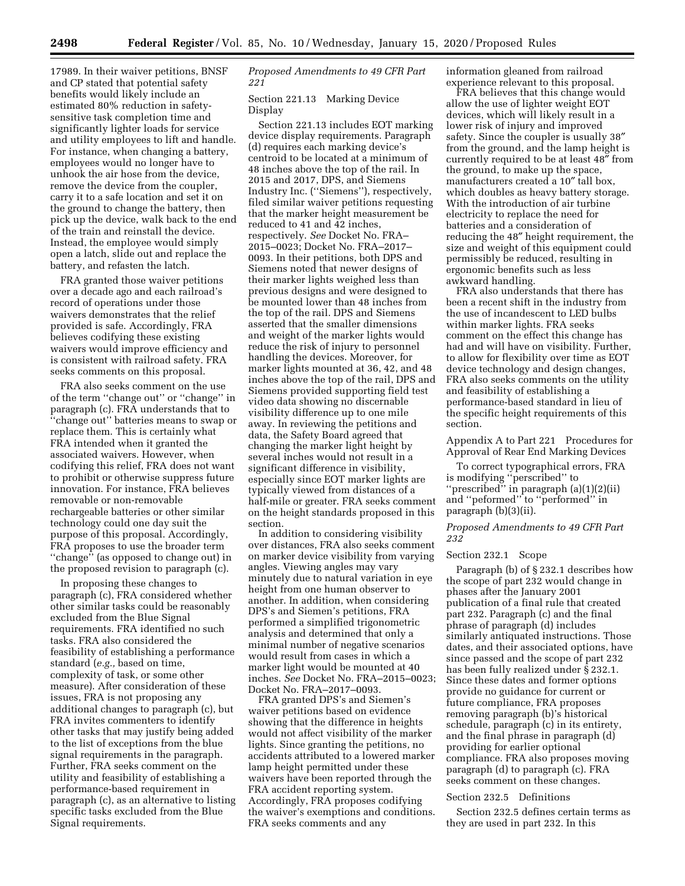17989. In their waiver petitions, BNSF and CP stated that potential safety benefits would likely include an estimated 80% reduction in safetysensitive task completion time and significantly lighter loads for service and utility employees to lift and handle. For instance, when changing a battery, employees would no longer have to unhook the air hose from the device, remove the device from the coupler, carry it to a safe location and set it on the ground to change the battery, then pick up the device, walk back to the end of the train and reinstall the device. Instead, the employee would simply open a latch, slide out and replace the battery, and refasten the latch.

FRA granted those waiver petitions over a decade ago and each railroad's record of operations under those waivers demonstrates that the relief provided is safe. Accordingly, FRA believes codifying these existing waivers would improve efficiency and is consistent with railroad safety. FRA seeks comments on this proposal.

FRA also seeks comment on the use of the term ''change out'' or ''change'' in paragraph (c). FRA understands that to ''change out'' batteries means to swap or replace them. This is certainly what FRA intended when it granted the associated waivers. However, when codifying this relief, FRA does not want to prohibit or otherwise suppress future innovation. For instance, FRA believes removable or non-removable rechargeable batteries or other similar technology could one day suit the purpose of this proposal. Accordingly, FRA proposes to use the broader term ''change'' (as opposed to change out) in the proposed revision to paragraph (c).

In proposing these changes to paragraph (c), FRA considered whether other similar tasks could be reasonably excluded from the Blue Signal requirements. FRA identified no such tasks. FRA also considered the feasibility of establishing a performance standard (*e.g.,* based on time, complexity of task, or some other measure). After consideration of these issues, FRA is not proposing any additional changes to paragraph (c), but FRA invites commenters to identify other tasks that may justify being added to the list of exceptions from the blue signal requirements in the paragraph. Further, FRA seeks comment on the utility and feasibility of establishing a performance-based requirement in paragraph (c), as an alternative to listing specific tasks excluded from the Blue Signal requirements.

# *Proposed Amendments to 49 CFR Part 221*

# Section 221.13 Marking Device Display

Section 221.13 includes EOT marking device display requirements. Paragraph (d) requires each marking device's centroid to be located at a minimum of 48 inches above the top of the rail. In 2015 and 2017, DPS, and Siemens Industry Inc. (''Siemens''), respectively, filed similar waiver petitions requesting that the marker height measurement be reduced to 41 and 42 inches, respectively. *See* Docket No. FRA– 2015–0023; Docket No. FRA–2017– 0093. In their petitions, both DPS and Siemens noted that newer designs of their marker lights weighed less than previous designs and were designed to be mounted lower than 48 inches from the top of the rail. DPS and Siemens asserted that the smaller dimensions and weight of the marker lights would reduce the risk of injury to personnel handling the devices. Moreover, for marker lights mounted at 36, 42, and 48 inches above the top of the rail, DPS and Siemens provided supporting field test video data showing no discernable visibility difference up to one mile away. In reviewing the petitions and data, the Safety Board agreed that changing the marker light height by several inches would not result in a significant difference in visibility, especially since EOT marker lights are typically viewed from distances of a half-mile or greater. FRA seeks comment on the height standards proposed in this section.

In addition to considering visibility over distances, FRA also seeks comment on marker device visibility from varying angles. Viewing angles may vary minutely due to natural variation in eye height from one human observer to another. In addition, when considering DPS's and Siemen's petitions, FRA performed a simplified trigonometric analysis and determined that only a minimal number of negative scenarios would result from cases in which a marker light would be mounted at 40 inches. *See* Docket No. FRA–2015–0023; Docket No. FRA–2017–0093.

FRA granted DPS's and Siemen's waiver petitions based on evidence showing that the difference in heights would not affect visibility of the marker lights. Since granting the petitions, no accidents attributed to a lowered marker lamp height permitted under these waivers have been reported through the FRA accident reporting system. Accordingly, FRA proposes codifying the waiver's exemptions and conditions. FRA seeks comments and any

information gleaned from railroad experience relevant to this proposal.

FRA believes that this change would allow the use of lighter weight EOT devices, which will likely result in a lower risk of injury and improved safety. Since the coupler is usually 38″ from the ground, and the lamp height is currently required to be at least 48″ from the ground, to make up the space, manufacturers created a 10" tall box, which doubles as heavy battery storage. With the introduction of air turbine electricity to replace the need for batteries and a consideration of reducing the 48″ height requirement, the size and weight of this equipment could permissibly be reduced, resulting in ergonomic benefits such as less awkward handling.

FRA also understands that there has been a recent shift in the industry from the use of incandescent to LED bulbs within marker lights. FRA seeks comment on the effect this change has had and will have on visibility. Further, to allow for flexibility over time as EOT device technology and design changes, FRA also seeks comments on the utility and feasibility of establishing a performance-based standard in lieu of the specific height requirements of this section.

Appendix A to Part 221 Procedures for Approval of Rear End Marking Devices

To correct typographical errors, FRA is modifying ''perscribed'' to ''prescribed'' in paragraph (a)(1)(2)(ii) and ''peformed'' to ''performed'' in paragraph (b)(3)(ii).

*Proposed Amendments to 49 CFR Part 232* 

## Section 232.1 Scope

Paragraph (b) of § 232.1 describes how the scope of part 232 would change in phases after the January 2001 publication of a final rule that created part 232. Paragraph (c) and the final phrase of paragraph (d) includes similarly antiquated instructions. Those dates, and their associated options, have since passed and the scope of part 232 has been fully realized under § 232.1. Since these dates and former options provide no guidance for current or future compliance, FRA proposes removing paragraph (b)'s historical schedule, paragraph (c) in its entirety, and the final phrase in paragraph (d) providing for earlier optional compliance. FRA also proposes moving paragraph (d) to paragraph (c). FRA seeks comment on these changes.

## Section 232.5 Definitions

Section 232.5 defines certain terms as they are used in part 232. In this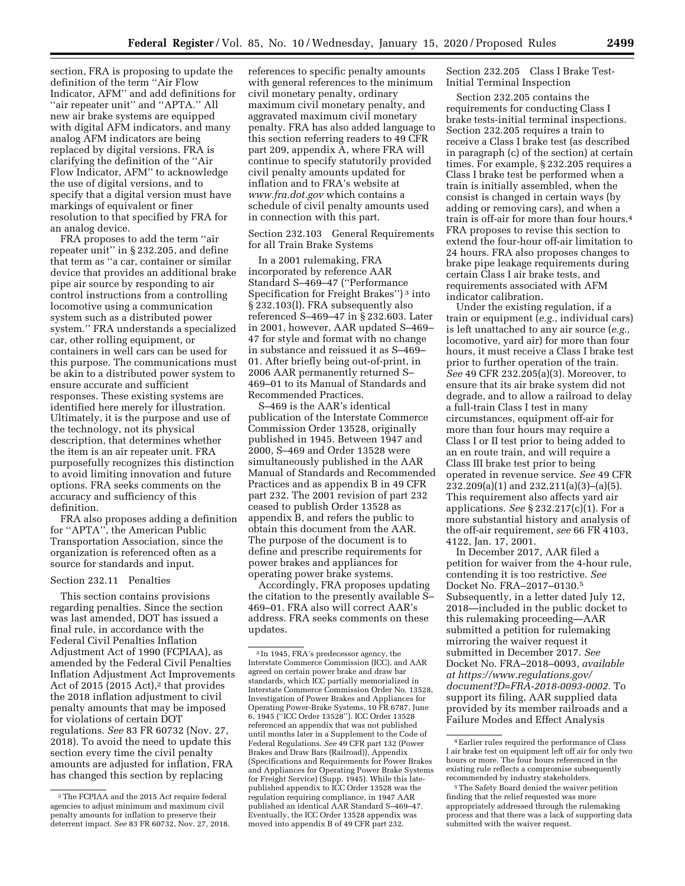section, FRA is proposing to update the definition of the term ''Air Flow Indicator, AFM'' and add definitions for "air repeater unit" and "APTA." All new air brake systems are equipped with digital AFM indicators, and many analog AFM indicators are being replaced by digital versions. FRA is clarifying the definition of the ''Air Flow Indicator, AFM'' to acknowledge the use of digital versions, and to specify that a digital version must have markings of equivalent or finer resolution to that specified by FRA for an analog device.

FRA proposes to add the term ''air repeater unit'' in § 232.205, and define that term as ''a car, container or similar device that provides an additional brake pipe air source by responding to air control instructions from a controlling locomotive using a communication system such as a distributed power system.'' FRA understands a specialized car, other rolling equipment, or containers in well cars can be used for this purpose. The communications must be akin to a distributed power system to ensure accurate and sufficient responses. These existing systems are identified here merely for illustration. Ultimately, it is the purpose and use of the technology, not its physical description, that determines whether the item is an air repeater unit. FRA purposefully recognizes this distinction to avoid limiting innovation and future options. FRA seeks comments on the accuracy and sufficiency of this definition.

FRA also proposes adding a definition for ''APTA'', the American Public Transportation Association, since the organization is referenced often as a source for standards and input.

#### Section 232.11 Penalties

This section contains provisions regarding penalties. Since the section was last amended, DOT has issued a final rule, in accordance with the Federal Civil Penalties Inflation Adjustment Act of 1990 (FCPIAA), as amended by the Federal Civil Penalties Inflation Adjustment Act Improvements Act of 2015 (2015 Act),<sup>2</sup> that provides the 2018 inflation adjustment to civil penalty amounts that may be imposed for violations of certain DOT regulations. *See* 83 FR 60732 (Nov. 27, 2018). To avoid the need to update this section every time the civil penalty amounts are adjusted for inflation, FRA has changed this section by replacing

references to specific penalty amounts with general references to the minimum civil monetary penalty, ordinary maximum civil monetary penalty, and aggravated maximum civil monetary penalty. FRA has also added language to this section referring readers to 49 CFR part 209, appendix A, where FRA will continue to specify statutorily provided civil penalty amounts updated for inflation and to FRA's website at *[www.fra.dot.gov](http://www.fra.dot.gov)* which contains a schedule of civil penalty amounts used in connection with this part.

Section 232.103 General Requirements for all Train Brake Systems

In a 2001 rulemaking, FRA incorporated by reference AAR Standard S–469–47 (''Performance Specification for Freight Brakes'') 3 into § 232.103(l). FRA subsequently also referenced S–469–47 in § 232.603. Later in 2001, however, AAR updated S–469– 47 for style and format with no change in substance and reissued it as S–469– 01. After briefly being out-of-print, in 2006 AAR permanently returned S– 469–01 to its Manual of Standards and Recommended Practices.

S–469 is the AAR's identical publication of the Interstate Commerce Commission Order 13528, originally published in 1945. Between 1947 and 2000, S–469 and Order 13528 were simultaneously published in the AAR Manual of Standards and Recommended Practices and as appendix B in 49 CFR part 232. The 2001 revision of part 232 ceased to publish Order 13528 as appendix B, and refers the public to obtain this document from the AAR. The purpose of the document is to define and prescribe requirements for power brakes and appliances for operating power brake systems.

Accordingly, FRA proposes updating the citation to the presently available S– 469–01. FRA also will correct AAR's address. FRA seeks comments on these updates.

Section 232.205 Class I Brake Test-Initial Terminal Inspection

Section 232.205 contains the requirements for conducting Class I brake tests-initial terminal inspections. Section 232.205 requires a train to receive a Class I brake test (as described in paragraph (c) of the section) at certain times. For example, § 232.205 requires a Class I brake test be performed when a train is initially assembled, when the consist is changed in certain ways (by adding or removing cars), and when a train is off-air for more than four hours.4 FRA proposes to revise this section to extend the four-hour off-air limitation to 24 hours. FRA also proposes changes to brake pipe leakage requirements during certain Class I air brake tests, and requirements associated with AFM indicator calibration.

Under the existing regulation, if a train or equipment (*e.g.,* individual cars) is left unattached to any air source (*e.g.,*  locomotive, yard air) for more than four hours, it must receive a Class I brake test prior to further operation of the train. *See* 49 CFR 232.205(a)(3). Moreover, to ensure that its air brake system did not degrade, and to allow a railroad to delay a full-train Class I test in many circumstances, equipment off-air for more than four hours may require a Class I or II test prior to being added to an en route train, and will require a Class III brake test prior to being operated in revenue service. *See* 49 CFR 232.209(a)(1) and 232.211(a)(3)–(a)(5). This requirement also affects yard air applications. *See* § 232.217(c)(1). For a more substantial history and analysis of the off-air requirement, *see* 66 FR 4103, 4122, Jan. 17, 2001.

In December 2017, AAR filed a petition for waiver from the 4-hour rule, contending it is too restrictive. *See*  Docket No. FRA–2017–0130.5 Subsequently, in a letter dated July 12, 2018—included in the public docket to this rulemaking proceeding—AAR submitted a petition for rulemaking mirroring the waiver request it submitted in December 2017. *See*  Docket No. FRA–2018–0093, *available at [https://www.regulations.gov/](https://www.regulations.gov/document?D=FRA-2018-0093-0002) [document?D=FRA-2018-0093-0002.](https://www.regulations.gov/document?D=FRA-2018-0093-0002)* To support its filing, AAR supplied data provided by its member railroads and a Failure Modes and Effect Analysis

<sup>2</sup>The FCPIAA and the 2015 Act require federal agencies to adjust minimum and maximum civil penalty amounts for inflation to preserve their deterrent impact. *See* 83 FR 60732, Nov. 27, 2018.

<sup>3</sup> In 1945, FRA's predecessor agency, the Interstate Commerce Commission (ICC), and AAR agreed on certain power brake and draw bar standards, which ICC partially memorialized in Interstate Commerce Commission Order No. 13528, Investigation of Power Brakes and Appliances for Operating Power-Brake Systems, 10 FR 6787, June 6, 1945 (''ICC Order 13528''). ICC Order 13528 referenced an appendix that was not published until months later in a Supplement to the Code of Federal Regulations. *See* 49 CFR part 132 (Power Brakes and Draw Bars (Railroad)), Appendix (Specifications and Requirements for Power Brakes and Appliances for Operating Power Brake Systems for Freight Service) (Supp. 1945). While this latepublished appendix to ICC Order 13528 was the regulation requiring compliance, in 1947 AAR published an identical AAR Standard S–469–47. Eventually, the ICC Order 13528 appendix was moved into appendix B of 49 CFR part 232.

<sup>4</sup>Earlier rules required the performance of Class I air brake test on equipment left off air for only two hours or more. The four hours referenced in the existing rule reflects a compromise subsequently recommended by industry stakeholders.

<sup>5</sup>The Safety Board denied the waiver petition finding that the relief requested was more appropriately addressed through the rulemaking process and that there was a lack of supporting data submitted with the waiver request.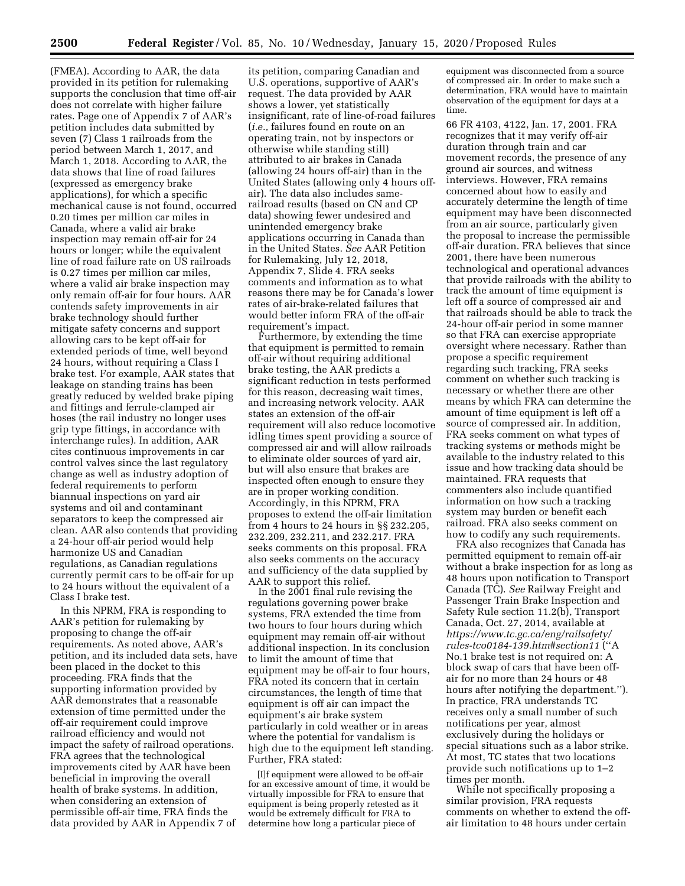(FMEA). According to AAR, the data provided in its petition for rulemaking supports the conclusion that time off-air does not correlate with higher failure rates. Page one of Appendix 7 of AAR's petition includes data submitted by seven (7) Class 1 railroads from the period between March 1, 2017, and March 1, 2018. According to AAR, the data shows that line of road failures (expressed as emergency brake applications), for which a specific mechanical cause is not found, occurred 0.20 times per million car miles in Canada, where a valid air brake inspection may remain off-air for 24 hours or longer; while the equivalent line of road failure rate on US railroads is 0.27 times per million car miles, where a valid air brake inspection may only remain off-air for four hours. AAR contends safety improvements in air brake technology should further mitigate safety concerns and support allowing cars to be kept off-air for extended periods of time, well beyond 24 hours, without requiring a Class I brake test. For example, AAR states that leakage on standing trains has been greatly reduced by welded brake piping and fittings and ferrule-clamped air hoses (the rail industry no longer uses grip type fittings, in accordance with interchange rules). In addition, AAR cites continuous improvements in car control valves since the last regulatory change as well as industry adoption of federal requirements to perform biannual inspections on yard air systems and oil and contaminant separators to keep the compressed air clean. AAR also contends that providing a 24-hour off-air period would help harmonize US and Canadian regulations, as Canadian regulations currently permit cars to be off-air for up to 24 hours without the equivalent of a Class I brake test.

In this NPRM, FRA is responding to AAR's petition for rulemaking by proposing to change the off-air requirements. As noted above, AAR's petition, and its included data sets, have been placed in the docket to this proceeding. FRA finds that the supporting information provided by AAR demonstrates that a reasonable extension of time permitted under the off-air requirement could improve railroad efficiency and would not impact the safety of railroad operations. FRA agrees that the technological improvements cited by AAR have been beneficial in improving the overall health of brake systems. In addition, when considering an extension of permissible off-air time, FRA finds the data provided by AAR in Appendix 7 of

its petition, comparing Canadian and U.S. operations, supportive of AAR's request. The data provided by AAR shows a lower, yet statistically insignificant, rate of line-of-road failures (*i.e.,* failures found en route on an operating train, not by inspectors or otherwise while standing still) attributed to air brakes in Canada (allowing 24 hours off-air) than in the United States (allowing only 4 hours offair). The data also includes samerailroad results (based on CN and CP data) showing fewer undesired and unintended emergency brake applications occurring in Canada than in the United States. *See* AAR Petition for Rulemaking, July 12, 2018, Appendix 7, Slide 4. FRA seeks comments and information as to what reasons there may be for Canada's lower rates of air-brake-related failures that would better inform FRA of the off-air requirement's impact.

Furthermore, by extending the time that equipment is permitted to remain off-air without requiring additional brake testing, the AAR predicts a significant reduction in tests performed for this reason, decreasing wait times, and increasing network velocity. AAR states an extension of the off-air requirement will also reduce locomotive idling times spent providing a source of compressed air and will allow railroads to eliminate older sources of yard air, but will also ensure that brakes are inspected often enough to ensure they are in proper working condition. Accordingly, in this NPRM, FRA proposes to extend the off-air limitation from 4 hours to 24 hours in §§ 232.205, 232.209, 232.211, and 232.217. FRA seeks comments on this proposal. FRA also seeks comments on the accuracy and sufficiency of the data supplied by AAR to support this relief.

In the 2001 final rule revising the regulations governing power brake systems, FRA extended the time from two hours to four hours during which equipment may remain off-air without additional inspection. In its conclusion to limit the amount of time that equipment may be off-air to four hours, FRA noted its concern that in certain circumstances, the length of time that equipment is off air can impact the equipment's air brake system particularly in cold weather or in areas where the potential for vandalism is high due to the equipment left standing. Further, FRA stated:

[I]f equipment were allowed to be off-air for an excessive amount of time, it would be virtually impossible for FRA to ensure that equipment is being properly retested as it would be extremely difficult for FRA to determine how long a particular piece of

equipment was disconnected from a source of compressed air. In order to make such a determination, FRA would have to maintain observation of the equipment for days at a time.

66 FR 4103, 4122, Jan. 17, 2001. FRA recognizes that it may verify off-air duration through train and car movement records, the presence of any ground air sources, and witness interviews. However, FRA remains concerned about how to easily and accurately determine the length of time equipment may have been disconnected from an air source, particularly given the proposal to increase the permissible off-air duration. FRA believes that since 2001, there have been numerous technological and operational advances that provide railroads with the ability to track the amount of time equipment is left off a source of compressed air and that railroads should be able to track the 24-hour off-air period in some manner so that FRA can exercise appropriate oversight where necessary. Rather than propose a specific requirement regarding such tracking, FRA seeks comment on whether such tracking is necessary or whether there are other means by which FRA can determine the amount of time equipment is left off a source of compressed air. In addition, FRA seeks comment on what types of tracking systems or methods might be available to the industry related to this issue and how tracking data should be maintained. FRA requests that commenters also include quantified information on how such a tracking system may burden or benefit each railroad. FRA also seeks comment on how to codify any such requirements.

FRA also recognizes that Canada has permitted equipment to remain off-air without a brake inspection for as long as 48 hours upon notification to Transport Canada (TC). *See* Railway Freight and Passenger Train Brake Inspection and Safety Rule section 11.2(b), Transport Canada, Oct. 27, 2014, available at *[https://www.tc.gc.ca/eng/railsafety/](https://www.tc.gc.ca/eng/railsafety/rules-tco0184-139.htm#section11)  [rules-tco0184-139.htm#section11](https://www.tc.gc.ca/eng/railsafety/rules-tco0184-139.htm#section11)* (''A No.1 brake test is not required on: A block swap of cars that have been offair for no more than 24 hours or 48 hours after notifying the department.''). In practice, FRA understands TC receives only a small number of such notifications per year, almost exclusively during the holidays or special situations such as a labor strike. At most, TC states that two locations provide such notifications up to 1–2 times per month.

While not specifically proposing a similar provision, FRA requests comments on whether to extend the offair limitation to 48 hours under certain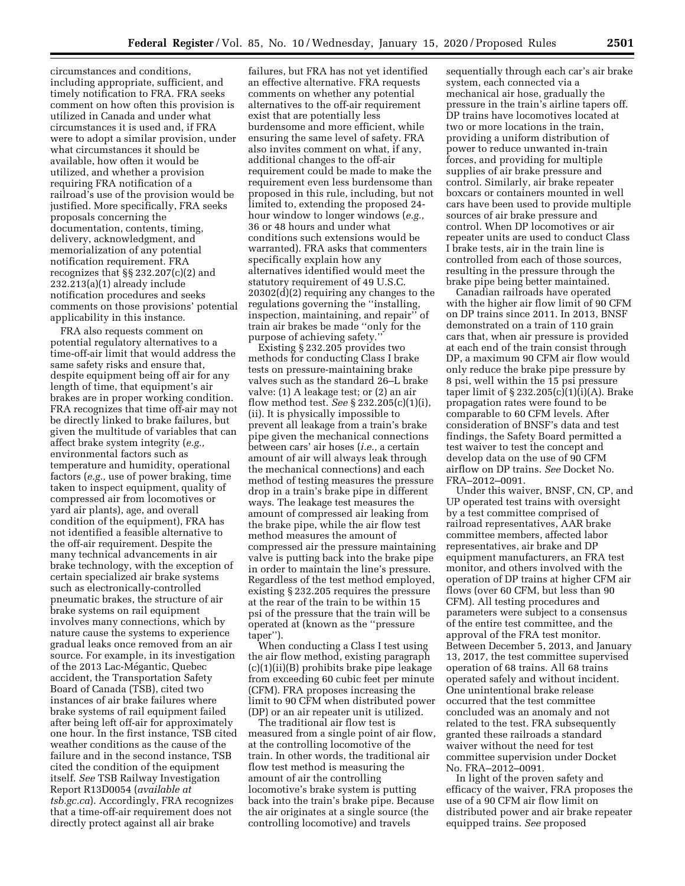circumstances and conditions, including appropriate, sufficient, and timely notification to FRA. FRA seeks comment on how often this provision is utilized in Canada and under what circumstances it is used and, if FRA were to adopt a similar provision, under what circumstances it should be available, how often it would be utilized, and whether a provision requiring FRA notification of a railroad's use of the provision would be justified. More specifically, FRA seeks proposals concerning the documentation, contents, timing, delivery, acknowledgment, and memorialization of any potential notification requirement. FRA recognizes that §§ 232.207(c)(2) and 232.213(a)(1) already include notification procedures and seeks comments on those provisions' potential applicability in this instance.

FRA also requests comment on potential regulatory alternatives to a time-off-air limit that would address the same safety risks and ensure that, despite equipment being off air for any length of time, that equipment's air brakes are in proper working condition. FRA recognizes that time off-air may not be directly linked to brake failures, but given the multitude of variables that can affect brake system integrity (*e.g.,*  environmental factors such as temperature and humidity, operational factors (*e.g.,* use of power braking, time taken to inspect equipment, quality of compressed air from locomotives or yard air plants), age, and overall condition of the equipment), FRA has not identified a feasible alternative to the off-air requirement. Despite the many technical advancements in air brake technology, with the exception of certain specialized air brake systems such as electronically-controlled pneumatic brakes, the structure of air brake systems on rail equipment involves many connections, which by nature cause the systems to experience gradual leaks once removed from an air source. For example, in its investigation of the 2013 Lac-Mégantic, Quebec accident, the Transportation Safety Board of Canada (TSB), cited two instances of air brake failures where brake systems of rail equipment failed after being left off-air for approximately one hour. In the first instance, TSB cited weather conditions as the cause of the failure and in the second instance, TSB cited the condition of the equipment itself. *See* TSB Railway Investigation Report R13D0054 (*available at tsb.gc.ca*). Accordingly, FRA recognizes that a time-off-air requirement does not directly protect against all air brake

failures, but FRA has not yet identified an effective alternative. FRA requests comments on whether any potential alternatives to the off-air requirement exist that are potentially less burdensome and more efficient, while ensuring the same level of safety. FRA also invites comment on what, if any, additional changes to the off-air requirement could be made to make the requirement even less burdensome than proposed in this rule, including, but not limited to, extending the proposed 24 hour window to longer windows (*e.g.,*  36 or 48 hours and under what conditions such extensions would be warranted). FRA asks that commenters specifically explain how any alternatives identified would meet the statutory requirement of 49 U.S.C. 20302(d)(2) requiring any changes to the regulations governing the ''installing, inspection, maintaining, and repair'' of train air brakes be made ''only for the purpose of achieving safety.''

Existing § 232.205 provides two methods for conducting Class I brake tests on pressure-maintaining brake valves such as the standard 26–L brake valve: (1) A leakage test; or (2) an air flow method test. *See* § 232.205(c)(1)(i), (ii). It is physically impossible to prevent all leakage from a train's brake pipe given the mechanical connections between cars' air hoses (*i.e.,* a certain amount of air will always leak through the mechanical connections) and each method of testing measures the pressure drop in a train's brake pipe in different ways. The leakage test measures the amount of compressed air leaking from the brake pipe, while the air flow test method measures the amount of compressed air the pressure maintaining valve is putting back into the brake pipe in order to maintain the line's pressure. Regardless of the test method employed, existing § 232.205 requires the pressure at the rear of the train to be within 15 psi of the pressure that the train will be operated at (known as the ''pressure taper'').

When conducting a Class I test using the air flow method, existing paragraph (c)(1)(ii)(B) prohibits brake pipe leakage from exceeding 60 cubic feet per minute (CFM). FRA proposes increasing the limit to 90 CFM when distributed power (DP) or an air repeater unit is utilized.

The traditional air flow test is measured from a single point of air flow, at the controlling locomotive of the train. In other words, the traditional air flow test method is measuring the amount of air the controlling locomotive's brake system is putting back into the train's brake pipe. Because the air originates at a single source (the controlling locomotive) and travels

sequentially through each car's air brake system, each connected via a mechanical air hose, gradually the pressure in the train's airline tapers off. DP trains have locomotives located at two or more locations in the train, providing a uniform distribution of power to reduce unwanted in-train forces, and providing for multiple supplies of air brake pressure and control. Similarly, air brake repeater boxcars or containers mounted in well cars have been used to provide multiple sources of air brake pressure and control. When DP locomotives or air repeater units are used to conduct Class I brake tests, air in the train line is controlled from each of those sources, resulting in the pressure through the brake pipe being better maintained.

Canadian railroads have operated with the higher air flow limit of 90 CFM on DP trains since 2011. In 2013, BNSF demonstrated on a train of 110 grain cars that, when air pressure is provided at each end of the train consist through DP, a maximum 90 CFM air flow would only reduce the brake pipe pressure by 8 psi, well within the 15 psi pressure taper limit of  $\S 232.205(c)(1)(i)(A)$ . Brake propagation rates were found to be comparable to 60 CFM levels. After consideration of BNSF's data and test findings, the Safety Board permitted a test waiver to test the concept and develop data on the use of 90 CFM airflow on DP trains. *See* Docket No. FRA–2012–0091.

Under this waiver, BNSF, CN, CP, and UP operated test trains with oversight by a test committee comprised of railroad representatives, AAR brake committee members, affected labor representatives, air brake and DP equipment manufacturers, an FRA test monitor, and others involved with the operation of DP trains at higher CFM air flows (over 60 CFM, but less than 90 CFM). All testing procedures and parameters were subject to a consensus of the entire test committee, and the approval of the FRA test monitor. Between December 5, 2013, and January 13, 2017, the test committee supervised operation of 68 trains. All 68 trains operated safely and without incident. One unintentional brake release occurred that the test committee concluded was an anomaly and not related to the test. FRA subsequently granted these railroads a standard waiver without the need for test committee supervision under Docket No. FRA–2012–0091.

In light of the proven safety and efficacy of the waiver, FRA proposes the use of a 90 CFM air flow limit on distributed power and air brake repeater equipped trains. *See* proposed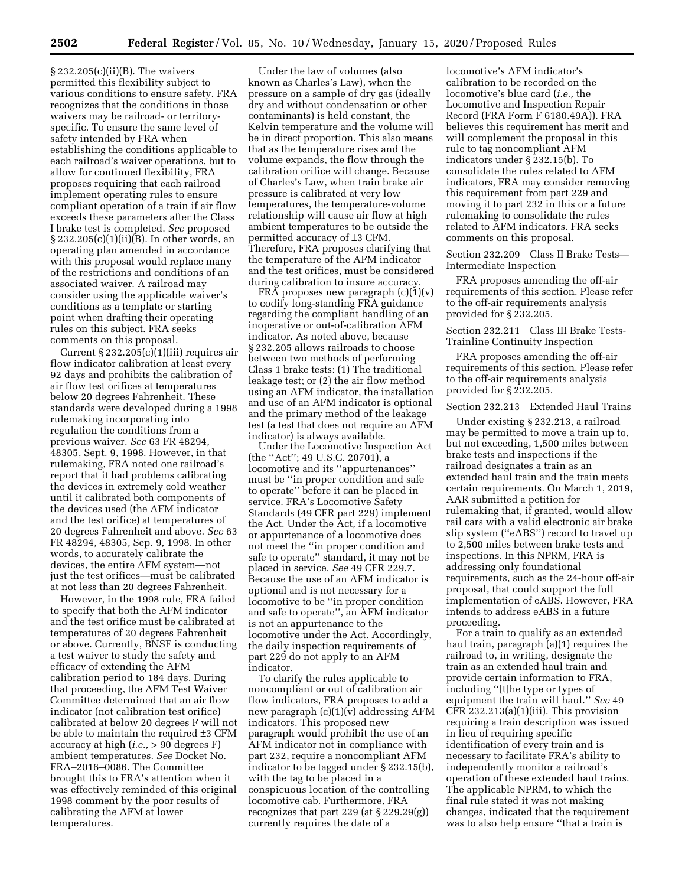§ 232.205(c)(ii)(B). The waivers permitted this flexibility subject to various conditions to ensure safety. FRA recognizes that the conditions in those waivers may be railroad- or territoryspecific. To ensure the same level of safety intended by FRA when establishing the conditions applicable to each railroad's waiver operations, but to allow for continued flexibility, FRA proposes requiring that each railroad implement operating rules to ensure compliant operation of a train if air flow exceeds these parameters after the Class I brake test is completed. *See* proposed § 232.205(c)(1)(ii)(B). In other words, an operating plan amended in accordance with this proposal would replace many of the restrictions and conditions of an associated waiver. A railroad may consider using the applicable waiver's conditions as a template or starting point when drafting their operating rules on this subject. FRA seeks comments on this proposal.

Current  $\S 232.205(c)(1)(iii)$  requires air flow indicator calibration at least every 92 days and prohibits the calibration of air flow test orifices at temperatures below 20 degrees Fahrenheit. These standards were developed during a 1998 rulemaking incorporating into regulation the conditions from a previous waiver. *See* 63 FR 48294, 48305, Sept. 9, 1998. However, in that rulemaking, FRA noted one railroad's report that it had problems calibrating the devices in extremely cold weather until it calibrated both components of the devices used (the AFM indicator and the test orifice) at temperatures of 20 degrees Fahrenheit and above. *See* 63 FR 48294, 48305, Sep. 9, 1998. In other words, to accurately calibrate the devices, the entire AFM system—not just the test orifices—must be calibrated at not less than 20 degrees Fahrenheit.

However, in the 1998 rule, FRA failed to specify that both the AFM indicator and the test orifice must be calibrated at temperatures of 20 degrees Fahrenheit or above. Currently, BNSF is conducting a test waiver to study the safety and efficacy of extending the AFM calibration period to 184 days. During that proceeding, the AFM Test Waiver Committee determined that an air flow indicator (not calibration test orifice) calibrated at below 20 degrees F will not be able to maintain the required ±3 CFM accuracy at high (*i.e.,* > 90 degrees F) ambient temperatures. *See* Docket No. FRA–2016–0086. The Committee brought this to FRA's attention when it was effectively reminded of this original 1998 comment by the poor results of calibrating the AFM at lower temperatures.

Under the law of volumes (also known as Charles's Law), when the pressure on a sample of dry gas (ideally dry and without condensation or other contaminants) is held constant, the Kelvin temperature and the volume will be in direct proportion. This also means that as the temperature rises and the volume expands, the flow through the calibration orifice will change. Because of Charles's Law, when train brake air pressure is calibrated at very low temperatures, the temperature-volume relationship will cause air flow at high ambient temperatures to be outside the permitted accuracy of ±3 CFM. Therefore, FRA proposes clarifying that the temperature of the AFM indicator and the test orifices, must be considered during calibration to insure accuracy.

FRA proposes new paragraph  $(c)(1)(v)$ to codify long-standing FRA guidance regarding the compliant handling of an inoperative or out-of-calibration AFM indicator. As noted above, because § 232.205 allows railroads to choose between two methods of performing Class 1 brake tests: (1) The traditional leakage test; or (2) the air flow method using an AFM indicator, the installation and use of an AFM indicator is optional and the primary method of the leakage test (a test that does not require an AFM indicator) is always available.

Under the Locomotive Inspection Act (the ''Act''; 49 U.S.C. 20701), a locomotive and its ''appurtenances'' must be ''in proper condition and safe to operate'' before it can be placed in service. FRA's Locomotive Safety Standards (49 CFR part 229) implement the Act. Under the Act, if a locomotive or appurtenance of a locomotive does not meet the ''in proper condition and safe to operate'' standard, it may not be placed in service. *See* 49 CFR 229.7. Because the use of an AFM indicator is optional and is not necessary for a locomotive to be ''in proper condition and safe to operate'', an AFM indicator is not an appurtenance to the locomotive under the Act. Accordingly, the daily inspection requirements of part 229 do not apply to an AFM indicator.

To clarify the rules applicable to noncompliant or out of calibration air flow indicators, FRA proposes to add a new paragraph (c)(1)(v) addressing AFM indicators. This proposed new paragraph would prohibit the use of an AFM indicator not in compliance with part 232, require a noncompliant AFM indicator to be tagged under § 232.15(b), with the tag to be placed in a conspicuous location of the controlling locomotive cab. Furthermore, FRA recognizes that part 229 (at  $\S 229.29(g)$ ) currently requires the date of a

locomotive's AFM indicator's calibration to be recorded on the locomotive's blue card (*i.e.,* the Locomotive and Inspection Repair Record (FRA Form  $\overline{F}$  6180.49A)). FRA believes this requirement has merit and will complement the proposal in this rule to tag noncompliant AFM indicators under § 232.15(b). To consolidate the rules related to AFM indicators, FRA may consider removing this requirement from part 229 and moving it to part 232 in this or a future rulemaking to consolidate the rules related to AFM indicators. FRA seeks comments on this proposal.

Section 232.209 Class II Brake Tests— Intermediate Inspection

FRA proposes amending the off-air requirements of this section. Please refer to the off-air requirements analysis provided for § 232.205.

Section 232.211 Class III Brake Tests-Trainline Continuity Inspection

FRA proposes amending the off-air requirements of this section. Please refer to the off-air requirements analysis provided for § 232.205.

Section 232.213 Extended Haul Trains

Under existing § 232.213, a railroad may be permitted to move a train up to, but not exceeding, 1,500 miles between brake tests and inspections if the railroad designates a train as an extended haul train and the train meets certain requirements. On March 1, 2019, AAR submitted a petition for rulemaking that, if granted, would allow rail cars with a valid electronic air brake slip system (''eABS'') record to travel up to 2,500 miles between brake tests and inspections. In this NPRM, FRA is addressing only foundational requirements, such as the 24-hour off-air proposal, that could support the full implementation of eABS. However, FRA intends to address eABS in a future proceeding.

For a train to qualify as an extended haul train, paragraph (a)(1) requires the railroad to, in writing, designate the train as an extended haul train and provide certain information to FRA, including ''[t]he type or types of equipment the train will haul.'' *See* 49 CFR  $232.213(a)(1)(iii)$ . This provision requiring a train description was issued in lieu of requiring specific identification of every train and is necessary to facilitate FRA's ability to independently monitor a railroad's operation of these extended haul trains. The applicable NPRM, to which the final rule stated it was not making changes, indicated that the requirement was to also help ensure ''that a train is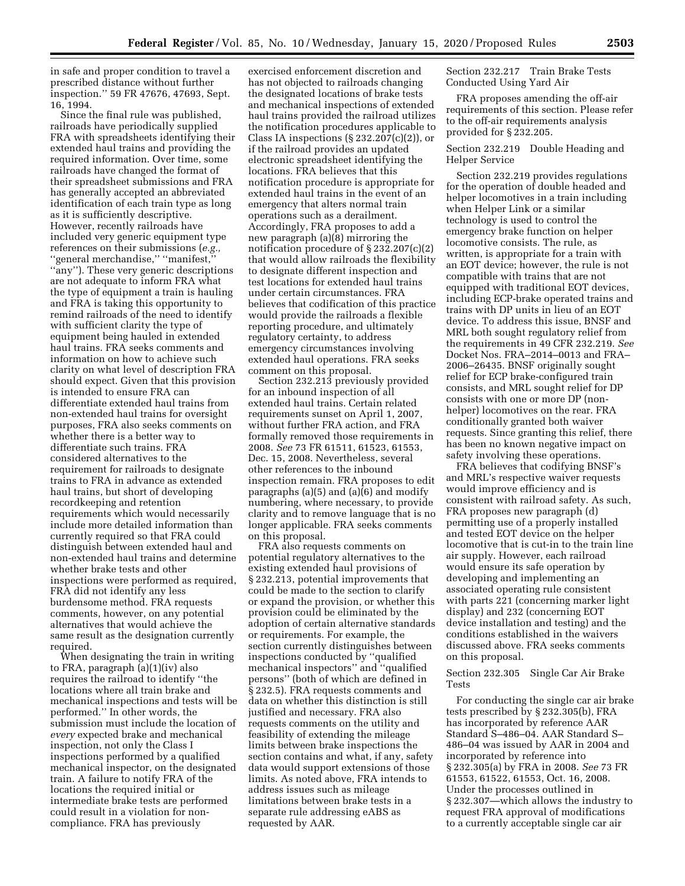in safe and proper condition to travel a prescribed distance without further inspection.'' 59 FR 47676, 47693, Sept. 16, 1994.

Since the final rule was published, railroads have periodically supplied FRA with spreadsheets identifying their extended haul trains and providing the required information. Over time, some railroads have changed the format of their spreadsheet submissions and FRA has generally accepted an abbreviated identification of each train type as long as it is sufficiently descriptive. However, recently railroads have included very generic equipment type references on their submissions (*e.g.,*  'general merchandise," "manifest, ''any''). These very generic descriptions are not adequate to inform FRA what the type of equipment a train is hauling and FRA is taking this opportunity to remind railroads of the need to identify with sufficient clarity the type of equipment being hauled in extended haul trains. FRA seeks comments and information on how to achieve such clarity on what level of description FRA should expect. Given that this provision is intended to ensure FRA can differentiate extended haul trains from non-extended haul trains for oversight purposes, FRA also seeks comments on whether there is a better way to differentiate such trains. FRA considered alternatives to the requirement for railroads to designate trains to FRA in advance as extended haul trains, but short of developing recordkeeping and retention requirements which would necessarily include more detailed information than currently required so that FRA could distinguish between extended haul and non-extended haul trains and determine whether brake tests and other inspections were performed as required, FRA did not identify any less burdensome method. FRA requests comments, however, on any potential alternatives that would achieve the same result as the designation currently required.

When designating the train in writing to FRA, paragraph (a)(1)(iv) also requires the railroad to identify ''the locations where all train brake and mechanical inspections and tests will be performed.'' In other words, the submission must include the location of *every* expected brake and mechanical inspection, not only the Class I inspections performed by a qualified mechanical inspector, on the designated train. A failure to notify FRA of the locations the required initial or intermediate brake tests are performed could result in a violation for noncompliance. FRA has previously

exercised enforcement discretion and has not objected to railroads changing the designated locations of brake tests and mechanical inspections of extended haul trains provided the railroad utilizes the notification procedures applicable to Class IA inspections  $(\S 232.207(c)(2))$ , or if the railroad provides an updated electronic spreadsheet identifying the locations. FRA believes that this notification procedure is appropriate for extended haul trains in the event of an emergency that alters normal train operations such as a derailment. Accordingly, FRA proposes to add a new paragraph (a)(8) mirroring the notification procedure of § 232.207(c)(2) that would allow railroads the flexibility to designate different inspection and test locations for extended haul trains under certain circumstances. FRA believes that codification of this practice would provide the railroads a flexible reporting procedure, and ultimately regulatory certainty, to address emergency circumstances involving extended haul operations. FRA seeks comment on this proposal.

Section 232.213 previously provided for an inbound inspection of all extended haul trains. Certain related requirements sunset on April 1, 2007, without further FRA action, and FRA formally removed those requirements in 2008. *See* 73 FR 61511, 61523, 61553, Dec. 15, 2008. Nevertheless, several other references to the inbound inspection remain. FRA proposes to edit paragraphs (a)(5) and (a)(6) and modify numbering, where necessary, to provide clarity and to remove language that is no longer applicable. FRA seeks comments on this proposal.

FRA also requests comments on potential regulatory alternatives to the existing extended haul provisions of § 232.213, potential improvements that could be made to the section to clarify or expand the provision, or whether this provision could be eliminated by the adoption of certain alternative standards or requirements. For example, the section currently distinguishes between inspections conducted by ''qualified mechanical inspectors'' and ''qualified persons'' (both of which are defined in § 232.5). FRA requests comments and data on whether this distinction is still justified and necessary. FRA also requests comments on the utility and feasibility of extending the mileage limits between brake inspections the section contains and what, if any, safety data would support extensions of those limits. As noted above, FRA intends to address issues such as mileage limitations between brake tests in a separate rule addressing eABS as requested by AAR.

Section 232.217 Train Brake Tests Conducted Using Yard Air

FRA proposes amending the off-air requirements of this section. Please refer to the off-air requirements analysis provided for § 232.205.

## Section 232.219 Double Heading and Helper Service

Section 232.219 provides regulations for the operation of double headed and helper locomotives in a train including when Helper Link or a similar technology is used to control the emergency brake function on helper locomotive consists. The rule, as written, is appropriate for a train with an EOT device; however, the rule is not compatible with trains that are not equipped with traditional EOT devices, including ECP-brake operated trains and trains with DP units in lieu of an EOT device. To address this issue, BNSF and MRL both sought regulatory relief from the requirements in 49 CFR 232.219. *See*  Docket Nos. FRA–2014–0013 and FRA– 2006–26435. BNSF originally sought relief for ECP brake-configured train consists, and MRL sought relief for DP consists with one or more DP (nonhelper) locomotives on the rear. FRA conditionally granted both waiver requests. Since granting this relief, there has been no known negative impact on safety involving these operations.

FRA believes that codifying BNSF's and MRL's respective waiver requests would improve efficiency and is consistent with railroad safety. As such, FRA proposes new paragraph (d) permitting use of a properly installed and tested EOT device on the helper locomotive that is cut-in to the train line air supply. However, each railroad would ensure its safe operation by developing and implementing an associated operating rule consistent with parts 221 (concerning marker light display) and 232 (concerning EOT device installation and testing) and the conditions established in the waivers discussed above. FRA seeks comments on this proposal.

## Section 232.305 Single Car Air Brake Tests

For conducting the single car air brake tests prescribed by § 232.305(b), FRA has incorporated by reference AAR Standard S–486–04. AAR Standard S– 486–04 was issued by AAR in 2004 and incorporated by reference into § 232.305(a) by FRA in 2008. *See* 73 FR 61553, 61522, 61553, Oct. 16, 2008. Under the processes outlined in § 232.307—which allows the industry to request FRA approval of modifications to a currently acceptable single car air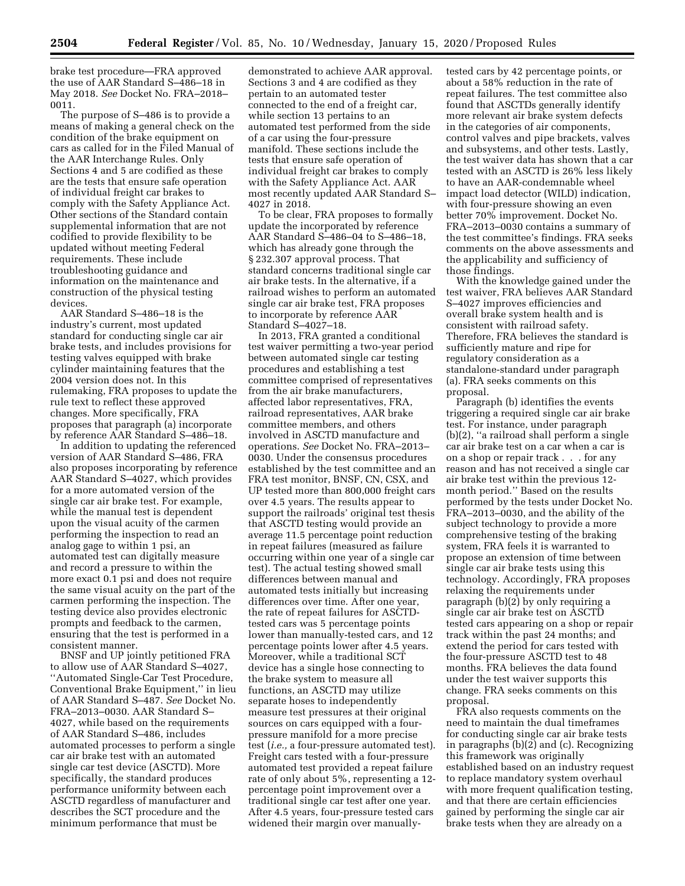brake test procedure—FRA approved the use of AAR Standard S–486–18 in May 2018. *See* Docket No. FRA–2018– 0011.

The purpose of S–486 is to provide a means of making a general check on the condition of the brake equipment on cars as called for in the Filed Manual of the AAR Interchange Rules. Only Sections 4 and 5 are codified as these are the tests that ensure safe operation of individual freight car brakes to comply with the Safety Appliance Act. Other sections of the Standard contain supplemental information that are not codified to provide flexibility to be updated without meeting Federal requirements. These include troubleshooting guidance and information on the maintenance and construction of the physical testing devices.

AAR Standard S–486–18 is the industry's current, most updated standard for conducting single car air brake tests, and includes provisions for testing valves equipped with brake cylinder maintaining features that the 2004 version does not. In this rulemaking, FRA proposes to update the rule text to reflect these approved changes. More specifically, FRA proposes that paragraph (a) incorporate by reference AAR Standard S–486–18.

In addition to updating the referenced version of AAR Standard S–486, FRA also proposes incorporating by reference AAR Standard S–4027, which provides for a more automated version of the single car air brake test. For example, while the manual test is dependent upon the visual acuity of the carmen performing the inspection to read an analog gage to within 1 psi, an automated test can digitally measure and record a pressure to within the more exact 0.1 psi and does not require the same visual acuity on the part of the carmen performing the inspection. The testing device also provides electronic prompts and feedback to the carmen, ensuring that the test is performed in a consistent manner.

BNSF and UP jointly petitioned FRA to allow use of AAR Standard S–4027, ''Automated Single-Car Test Procedure, Conventional Brake Equipment,'' in lieu of AAR Standard S–487. *See* Docket No. FRA–2013–0030. AAR Standard S– 4027, while based on the requirements of AAR Standard S–486, includes automated processes to perform a single car air brake test with an automated single car test device (ASCTD). More specifically, the standard produces performance uniformity between each ASCTD regardless of manufacturer and describes the SCT procedure and the minimum performance that must be

demonstrated to achieve AAR approval. Sections 3 and 4 are codified as they pertain to an automated tester connected to the end of a freight car, while section 13 pertains to an automated test performed from the side of a car using the four-pressure manifold. These sections include the tests that ensure safe operation of individual freight car brakes to comply with the Safety Appliance Act. AAR most recently updated AAR Standard S– 4027 in 2018.

To be clear, FRA proposes to formally update the incorporated by reference AAR Standard S–486–04 to S–486–18, which has already gone through the § 232.307 approval process. That standard concerns traditional single car air brake tests. In the alternative, if a railroad wishes to perform an automated single car air brake test, FRA proposes to incorporate by reference AAR Standard S–4027–18.

In 2013, FRA granted a conditional test waiver permitting a two-year period between automated single car testing procedures and establishing a test committee comprised of representatives from the air brake manufacturers, affected labor representatives, FRA, railroad representatives, AAR brake committee members, and others involved in ASCTD manufacture and operations. *See* Docket No. FRA–2013– 0030. Under the consensus procedures established by the test committee and an FRA test monitor, BNSF, CN, CSX, and UP tested more than 800,000 freight cars over 4.5 years. The results appear to support the railroads' original test thesis that ASCTD testing would provide an average 11.5 percentage point reduction in repeat failures (measured as failure occurring within one year of a single car test). The actual testing showed small differences between manual and automated tests initially but increasing differences over time. After one year, the rate of repeat failures for ASCTDtested cars was 5 percentage points lower than manually-tested cars, and 12 percentage points lower after 4.5 years. Moreover, while a traditional SCT device has a single hose connecting to the brake system to measure all functions, an ASCTD may utilize separate hoses to independently measure test pressures at their original sources on cars equipped with a fourpressure manifold for a more precise test (*i.e.,* a four-pressure automated test). Freight cars tested with a four-pressure automated test provided a repeat failure rate of only about 5%, representing a 12 percentage point improvement over a traditional single car test after one year. After 4.5 years, four-pressure tested cars widened their margin over manually-

tested cars by 42 percentage points, or about a 58% reduction in the rate of repeat failures. The test committee also found that ASCTDs generally identify more relevant air brake system defects in the categories of air components, control valves and pipe brackets, valves and subsystems, and other tests. Lastly, the test waiver data has shown that a car tested with an ASCTD is 26% less likely to have an AAR-condemnable wheel impact load detector (WILD) indication, with four-pressure showing an even better 70% improvement. Docket No. FRA–2013–0030 contains a summary of the test committee's findings. FRA seeks comments on the above assessments and the applicability and sufficiency of those findings.

With the knowledge gained under the test waiver, FRA believes AAR Standard S–4027 improves efficiencies and overall brake system health and is consistent with railroad safety. Therefore, FRA believes the standard is sufficiently mature and ripe for regulatory consideration as a standalone-standard under paragraph (a). FRA seeks comments on this proposal.

Paragraph (b) identifies the events triggering a required single car air brake test. For instance, under paragraph (b)(2), ''a railroad shall perform a single car air brake test on a car when a car is on a shop or repair track . . . for any reason and has not received a single car air brake test within the previous 12 month period.'' Based on the results performed by the tests under Docket No. FRA–2013–0030, and the ability of the subject technology to provide a more comprehensive testing of the braking system, FRA feels it is warranted to propose an extension of time between single car air brake tests using this technology. Accordingly, FRA proposes relaxing the requirements under paragraph (b)(2) by only requiring a single car air brake test on ASCTD tested cars appearing on a shop or repair track within the past 24 months; and extend the period for cars tested with the four-pressure ASCTD test to 48 months. FRA believes the data found under the test waiver supports this change. FRA seeks comments on this proposal.

FRA also requests comments on the need to maintain the dual timeframes for conducting single car air brake tests in paragraphs (b)(2) and (c). Recognizing this framework was originally established based on an industry request to replace mandatory system overhaul with more frequent qualification testing, and that there are certain efficiencies gained by performing the single car air brake tests when they are already on a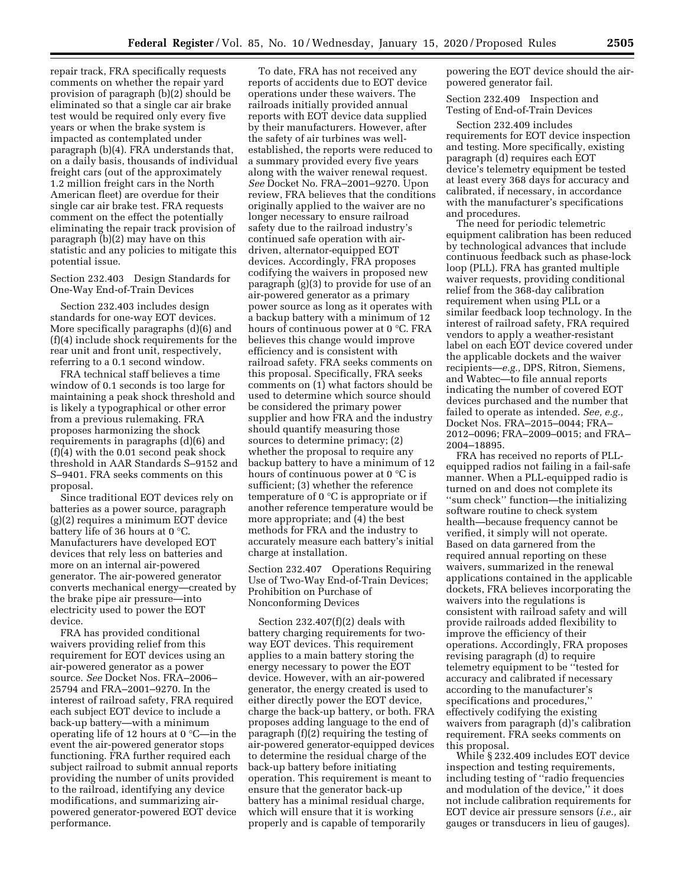repair track, FRA specifically requests comments on whether the repair yard provision of paragraph (b)(2) should be eliminated so that a single car air brake test would be required only every five years or when the brake system is impacted as contemplated under paragraph (b)(4). FRA understands that, on a daily basis, thousands of individual freight cars (out of the approximately 1.2 million freight cars in the North American fleet) are overdue for their single car air brake test. FRA requests comment on the effect the potentially eliminating the repair track provision of paragraph (b)(2) may have on this statistic and any policies to mitigate this potential issue.

Section 232.403 Design Standards for One-Way End-of-Train Devices

Section 232.403 includes design standards for one-way EOT devices. More specifically paragraphs (d)(6) and (f)(4) include shock requirements for the rear unit and front unit, respectively, referring to a 0.1 second window.

FRA technical staff believes a time window of 0.1 seconds is too large for maintaining a peak shock threshold and is likely a typographical or other error from a previous rulemaking. FRA proposes harmonizing the shock requirements in paragraphs (d)(6) and (f)(4) with the 0.01 second peak shock threshold in AAR Standards S–9152 and S–9401. FRA seeks comments on this proposal.

Since traditional EOT devices rely on batteries as a power source, paragraph (g)(2) requires a minimum EOT device battery life of 36 hours at 0 °C. Manufacturers have developed EOT devices that rely less on batteries and more on an internal air-powered generator. The air-powered generator converts mechanical energy—created by the brake pipe air pressure—into electricity used to power the EOT device.

FRA has provided conditional waivers providing relief from this requirement for EOT devices using an air-powered generator as a power source. *See* Docket Nos. FRA–2006– 25794 and FRA–2001–9270. In the interest of railroad safety, FRA required each subject EOT device to include a back-up battery—with a minimum operating life of 12 hours at 0 °C—in the event the air-powered generator stops functioning. FRA further required each subject railroad to submit annual reports providing the number of units provided to the railroad, identifying any device modifications, and summarizing airpowered generator-powered EOT device performance.

To date, FRA has not received any reports of accidents due to EOT device operations under these waivers. The railroads initially provided annual reports with EOT device data supplied by their manufacturers. However, after the safety of air turbines was wellestablished, the reports were reduced to a summary provided every five years along with the waiver renewal request. *See* Docket No. FRA–2001–9270. Upon review, FRA believes that the conditions originally applied to the waiver are no longer necessary to ensure railroad safety due to the railroad industry's continued safe operation with airdriven, alternator-equipped EOT devices. Accordingly, FRA proposes codifying the waivers in proposed new paragraph (g)(3) to provide for use of an air-powered generator as a primary power source as long as it operates with a backup battery with a minimum of 12 hours of continuous power at 0 °C. FRA believes this change would improve efficiency and is consistent with railroad safety. FRA seeks comments on this proposal. Specifically, FRA seeks comments on (1) what factors should be used to determine which source should be considered the primary power supplier and how FRA and the industry should quantify measuring those sources to determine primacy; (2) whether the proposal to require any backup battery to have a minimum of 12 hours of continuous power at 0 °C is sufficient; (3) whether the reference temperature of 0 °C is appropriate or if another reference temperature would be more appropriate; and (4) the best methods for FRA and the industry to accurately measure each battery's initial charge at installation.

Section 232.407 Operations Requiring Use of Two-Way End-of-Train Devices; Prohibition on Purchase of Nonconforming Devices

Section 232.407(f)(2) deals with battery charging requirements for twoway EOT devices. This requirement applies to a main battery storing the energy necessary to power the EOT device. However, with an air-powered generator, the energy created is used to either directly power the EOT device, charge the back-up battery, or both. FRA proposes adding language to the end of paragraph (f)(2) requiring the testing of air-powered generator-equipped devices to determine the residual charge of the back-up battery before initiating operation. This requirement is meant to ensure that the generator back-up battery has a minimal residual charge, which will ensure that it is working properly and is capable of temporarily

powering the EOT device should the airpowered generator fail.

Section 232.409 Inspection and Testing of End-of-Train Devices

Section 232.409 includes requirements for EOT device inspection and testing. More specifically, existing paragraph (d) requires each EOT device's telemetry equipment be tested at least every 368 days for accuracy and calibrated, if necessary, in accordance with the manufacturer's specifications and procedures.

The need for periodic telemetric equipment calibration has been reduced by technological advances that include continuous feedback such as phase-lock loop (PLL). FRA has granted multiple waiver requests, providing conditional relief from the 368-day calibration requirement when using PLL or a similar feedback loop technology. In the interest of railroad safety, FRA required vendors to apply a weather-resistant label on each EOT device covered under the applicable dockets and the waiver recipients—*e.g.,* DPS, Ritron, Siemens, and Wabtec—to file annual reports indicating the number of covered EOT devices purchased and the number that failed to operate as intended. *See, e.g.,*  Docket Nos. FRA–2015–0044; FRA– 2012–0096; FRA–2009–0015; and FRA– 2004–18895.

FRA has received no reports of PLLequipped radios not failing in a fail-safe manner. When a PLL-equipped radio is turned on and does not complete its ''sum check'' function—the initializing software routine to check system health—because frequency cannot be verified, it simply will not operate. Based on data garnered from the required annual reporting on these waivers, summarized in the renewal applications contained in the applicable dockets, FRA believes incorporating the waivers into the regulations is consistent with railroad safety and will provide railroads added flexibility to improve the efficiency of their operations. Accordingly, FRA proposes revising paragraph (d) to require telemetry equipment to be ''tested for accuracy and calibrated if necessary according to the manufacturer's specifications and procedures,'' effectively codifying the existing waivers from paragraph (d)'s calibration requirement. FRA seeks comments on this proposal.

While § 232.409 includes EOT device inspection and testing requirements, including testing of ''radio frequencies and modulation of the device," it does not include calibration requirements for EOT device air pressure sensors (*i.e.,* air gauges or transducers in lieu of gauges).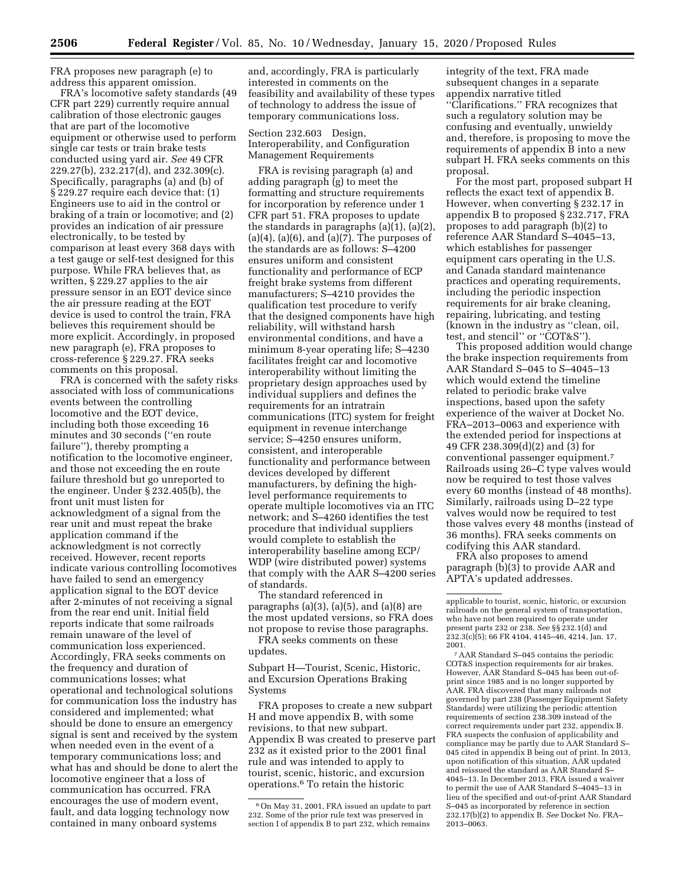FRA proposes new paragraph (e) to address this apparent omission.

FRA's locomotive safety standards (49 CFR part 229) currently require annual calibration of those electronic gauges that are part of the locomotive equipment or otherwise used to perform single car tests or train brake tests conducted using yard air. *See* 49 CFR 229.27(b), 232.217(d), and 232.309(c). Specifically, paragraphs (a) and (b) of § 229.27 require each device that: (1) Engineers use to aid in the control or braking of a train or locomotive; and (2) provides an indication of air pressure electronically, to be tested by comparison at least every 368 days with a test gauge or self-test designed for this purpose. While FRA believes that, as written, § 229.27 applies to the air pressure sensor in an EOT device since the air pressure reading at the EOT device is used to control the train, FRA believes this requirement should be more explicit. Accordingly, in proposed new paragraph (e), FRA proposes to cross-reference § 229.27. FRA seeks comments on this proposal.

FRA is concerned with the safety risks associated with loss of communications events between the controlling locomotive and the EOT device, including both those exceeding 16 minutes and 30 seconds (''en route failure''), thereby prompting a notification to the locomotive engineer, and those not exceeding the en route failure threshold but go unreported to the engineer. Under § 232.405(b), the front unit must listen for acknowledgment of a signal from the rear unit and must repeat the brake application command if the acknowledgment is not correctly received. However, recent reports indicate various controlling locomotives have failed to send an emergency application signal to the EOT device after 2-minutes of not receiving a signal from the rear end unit. Initial field reports indicate that some railroads remain unaware of the level of communication loss experienced. Accordingly, FRA seeks comments on the frequency and duration of communications losses; what operational and technological solutions for communication loss the industry has considered and implemented; what should be done to ensure an emergency signal is sent and received by the system when needed even in the event of a temporary communications loss; and what has and should be done to alert the locomotive engineer that a loss of communication has occurred. FRA encourages the use of modern event, fault, and data logging technology now contained in many onboard systems

and, accordingly, FRA is particularly interested in comments on the feasibility and availability of these types of technology to address the issue of temporary communications loss.

Section 232.603 Design, Interoperability, and Configuration Management Requirements

FRA is revising paragraph (a) and adding paragraph (g) to meet the formatting and structure requirements for incorporation by reference under 1 CFR part 51. FRA proposes to update the standards in paragraphs (a)(1), (a)(2),  $(a)(4)$ ,  $(a)(6)$ , and  $(a)(7)$ . The purposes of the standards are as follows: S–4200 ensures uniform and consistent functionality and performance of ECP freight brake systems from different manufacturers; S–4210 provides the qualification test procedure to verify that the designed components have high reliability, will withstand harsh environmental conditions, and have a minimum 8-year operating life; S–4230 facilitates freight car and locomotive interoperability without limiting the proprietary design approaches used by individual suppliers and defines the requirements for an intratrain communications (ITC) system for freight equipment in revenue interchange service; S–4250 ensures uniform, consistent, and interoperable functionality and performance between devices developed by different manufacturers, by defining the highlevel performance requirements to operate multiple locomotives via an ITC network; and S–4260 identifies the test procedure that individual suppliers would complete to establish the interoperability baseline among ECP/ WDP (wire distributed power) systems that comply with the AAR S–4200 series of standards.

The standard referenced in paragraphs (a)(3), (a)(5), and (a)(8) are the most updated versions, so FRA does not propose to revise those paragraphs.

FRA seeks comments on these updates.

Subpart H—Tourist, Scenic, Historic, and Excursion Operations Braking Systems

FRA proposes to create a new subpart H and move appendix B, with some revisions, to that new subpart. Appendix B was created to preserve part 232 as it existed prior to the 2001 final rule and was intended to apply to tourist, scenic, historic, and excursion operations.6 To retain the historic

integrity of the text, FRA made subsequent changes in a separate appendix narrative titled ''Clarifications.'' FRA recognizes that such a regulatory solution may be confusing and eventually, unwieldy and, therefore, is proposing to move the requirements of appendix B into a new subpart H. FRA seeks comments on this proposal.

For the most part, proposed subpart H reflects the exact text of appendix B. However, when converting § 232.17 in appendix B to proposed § 232.717, FRA proposes to add paragraph (b)(2) to reference AAR Standard S–4045–13, which establishes for passenger equipment cars operating in the U.S. and Canada standard maintenance practices and operating requirements, including the periodic inspection requirements for air brake cleaning, repairing, lubricating, and testing (known in the industry as ''clean, oil, test, and stencil'' or ''COT&S'').

This proposed addition would change the brake inspection requirements from AAR Standard S–045 to S–4045–13 which would extend the timeline related to periodic brake valve inspections, based upon the safety experience of the waiver at Docket No. FRA–2013–0063 and experience with the extended period for inspections at 49 CFR 238.309(d)(2) and (3) for conventional passenger equipment.7 Railroads using 26–C type valves would now be required to test those valves every 60 months (instead of 48 months). Similarly, railroads using D–22 type valves would now be required to test those valves every 48 months (instead of 36 months). FRA seeks comments on codifying this AAR standard.

FRA also proposes to amend paragraph (b)(3) to provide AAR and APTA's updated addresses.

7AAR Standard S–045 contains the periodic COT&S inspection requirements for air brakes. However, AAR Standard S–045 has been out-ofprint since 1985 and is no longer supported by AAR. FRA discovered that many railroads not governed by part 238 (Passenger Equipment Safety Standards) were utilizing the periodic attention requirements of section 238.309 instead of the correct requirements under part 232, appendix B. FRA suspects the confusion of applicability and compliance may be partly due to AAR Standard S– 045 cited in appendix B being out of print. In 2013, upon notification of this situation, AAR updated and reissued the standard as AAR Standard S– 4045–13. In December 2013, FRA issued a waiver to permit the use of AAR Standard S–4045–13 in lieu of the specified and out-of-print AAR Standard S–045 as incorporated by reference in section 232.17(b)(2) to appendix B. *See* Docket No. FRA– 2013–0063.

<sup>6</sup>On May 31, 2001, FRA issued an update to part 232. Some of the prior rule text was preserved in section I of appendix B to part 232, which remains

applicable to tourist, scenic, historic, or excursion railroads on the general system of transportation, who have not been required to operate under present parts 232 or 238. *See* §§ 232.1(d) and 232.3(c)(5); 66 FR 4104, 4145–46, 4214, Jan. 17, 2001.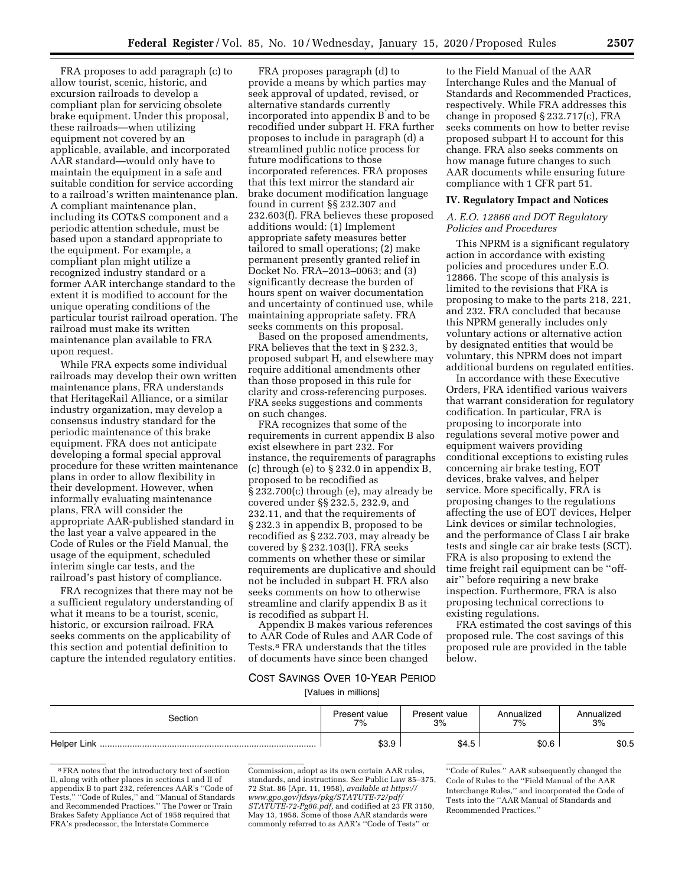FRA proposes to add paragraph (c) to allow tourist, scenic, historic, and excursion railroads to develop a compliant plan for servicing obsolete brake equipment. Under this proposal, these railroads—when utilizing equipment not covered by an applicable, available, and incorporated AAR standard—would only have to maintain the equipment in a safe and suitable condition for service according to a railroad's written maintenance plan. A compliant maintenance plan, including its COT&S component and a periodic attention schedule, must be based upon a standard appropriate to the equipment. For example, a compliant plan might utilize a recognized industry standard or a former AAR interchange standard to the extent it is modified to account for the unique operating conditions of the particular tourist railroad operation. The railroad must make its written maintenance plan available to FRA upon request.

While FRA expects some individual railroads may develop their own written maintenance plans, FRA understands that HeritageRail Alliance, or a similar industry organization, may develop a consensus industry standard for the periodic maintenance of this brake equipment. FRA does not anticipate developing a formal special approval procedure for these written maintenance plans in order to allow flexibility in their development. However, when informally evaluating maintenance plans, FRA will consider the appropriate AAR-published standard in the last year a valve appeared in the Code of Rules or the Field Manual, the usage of the equipment, scheduled interim single car tests, and the railroad's past history of compliance.

FRA recognizes that there may not be a sufficient regulatory understanding of what it means to be a tourist, scenic, historic, or excursion railroad. FRA seeks comments on the applicability of this section and potential definition to capture the intended regulatory entities.

FRA proposes paragraph (d) to provide a means by which parties may seek approval of updated, revised, or alternative standards currently incorporated into appendix B and to be recodified under subpart H. FRA further proposes to include in paragraph (d) a streamlined public notice process for future modifications to those incorporated references. FRA proposes that this text mirror the standard air brake document modification language found in current §§ 232.307 and 232.603(f). FRA believes these proposed additions would: (1) Implement appropriate safety measures better tailored to small operations; (2) make permanent presently granted relief in Docket No. FRA–2013–0063; and (3) significantly decrease the burden of hours spent on waiver documentation and uncertainty of continued use, while maintaining appropriate safety. FRA seeks comments on this proposal.

Based on the proposed amendments, FRA believes that the text in § 232.3, proposed subpart H, and elsewhere may require additional amendments other than those proposed in this rule for clarity and cross-referencing purposes. FRA seeks suggestions and comments on such changes.

FRA recognizes that some of the requirements in current appendix B also exist elsewhere in part 232. For instance, the requirements of paragraphs (c) through (e) to § 232.0 in appendix B, proposed to be recodified as § 232.700(c) through (e), may already be covered under §§ 232.5, 232.9, and 232.11, and that the requirements of § 232.3 in appendix B, proposed to be recodified as § 232.703, may already be covered by § 232.103(l). FRA seeks comments on whether these or similar requirements are duplicative and should not be included in subpart H. FRA also seeks comments on how to otherwise streamline and clarify appendix B as it is recodified as subpart H.

Appendix B makes various references to AAR Code of Rules and AAR Code of Tests.8 FRA understands that the titles of documents have since been changed

to the Field Manual of the AAR Interchange Rules and the Manual of Standards and Recommended Practices, respectively. While FRA addresses this change in proposed § 232.717(c), FRA seeks comments on how to better revise proposed subpart H to account for this change. FRA also seeks comments on how manage future changes to such AAR documents while ensuring future compliance with 1 CFR part 51.

#### **IV. Regulatory Impact and Notices**

## *A. E.O. 12866 and DOT Regulatory Policies and Procedures*

This NPRM is a significant regulatory action in accordance with existing policies and procedures under E.O. 12866. The scope of this analysis is limited to the revisions that FRA is proposing to make to the parts 218, 221, and 232. FRA concluded that because this NPRM generally includes only voluntary actions or alternative action by designated entities that would be voluntary, this NPRM does not impart additional burdens on regulated entities.

In accordance with these Executive Orders, FRA identified various waivers that warrant consideration for regulatory codification. In particular, FRA is proposing to incorporate into regulations several motive power and equipment waivers providing conditional exceptions to existing rules concerning air brake testing, EOT devices, brake valves, and helper service. More specifically, FRA is proposing changes to the regulations affecting the use of EOT devices, Helper Link devices or similar technologies, and the performance of Class I air brake tests and single car air brake tests (SCT). FRA is also proposing to extend the time freight rail equipment can be ''offair'' before requiring a new brake inspection. Furthermore, FRA is also proposing technical corrections to existing regulations.

FRA estimated the cost savings of this proposed rule. The cost savings of this proposed rule are provided in the table below.

## COST SAVINGS OVER 10-YEAR PERIOD

[Values in millions]

| Section            | Present value | Present value | Annualized | Annualized |
|--------------------|---------------|---------------|------------|------------|
|                    | 7%            | 3%            | 7%         | 3%         |
| <b>Helper Link</b> | \$3.9         | \$4.5         | \$0.6      | \$0.5      |

<sup>8</sup>FRA notes that the introductory text of section II, along with other places in sections I and II of appendix B to part 232, references AAR's ''Code of Tests,'' ''Code of Rules,'' and ''Manual of Standards and Recommended Practices.'' The Power or Train Brakes Safety Appliance Act of 1958 required that FRA's predecessor, the Interstate Commerce

Commission, adopt as its own certain AAR rules, standards, and instructions. *See* Public Law 85–375, 72 Stat. 86 (Apr. 11, 1958), *available at [https://](https://www.gpo.gov/fdsys/pkg/STATUTE-72/pdf/STATUTE-72-Pg86.pdf) [www.gpo.gov/fdsys/pkg/STATUTE-72/pdf/](https://www.gpo.gov/fdsys/pkg/STATUTE-72/pdf/STATUTE-72-Pg86.pdf)  [STATUTE-72-Pg86.pdf,](https://www.gpo.gov/fdsys/pkg/STATUTE-72/pdf/STATUTE-72-Pg86.pdf)* and codified at 23 FR 3150, May 13, 1958. Some of those AAR standards were commonly referred to as AAR's ''Code of Tests'' or

''Code of Rules.'' AAR subsequently changed the Code of Rules to the ''Field Manual of the AAR Interchange Rules,'' and incorporated the Code of Tests into the ''AAR Manual of Standards and Recommended Practices.''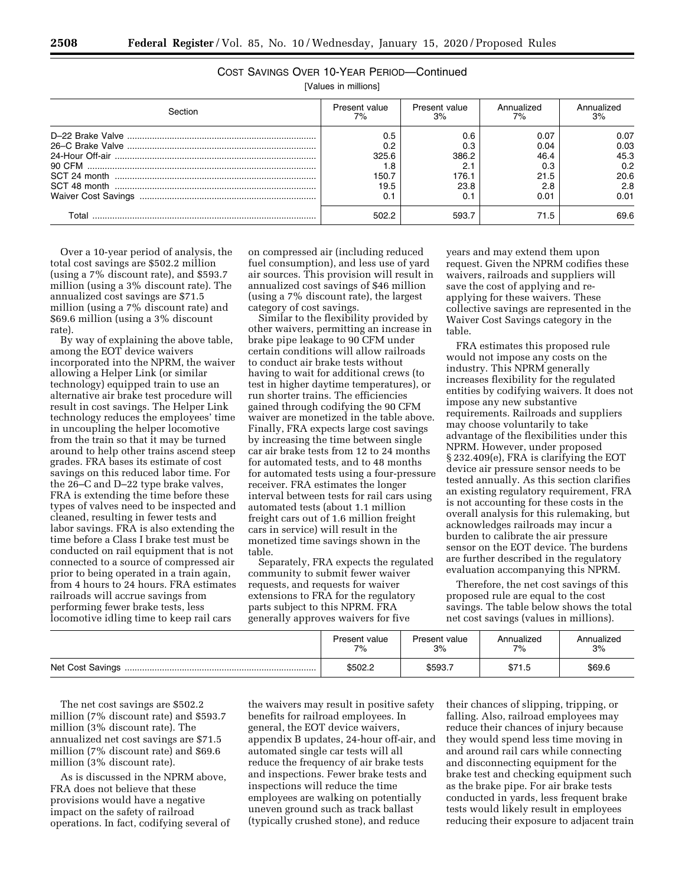|--|--|--|--|--|

| [Values in millions] |               |               |            |            |
|----------------------|---------------|---------------|------------|------------|
| Section              | Present value | Present value | Annualized | Annualized |
|                      | 7%            | 3%            | 7%         | 3%         |
|                      | 0.5           | 0.6           | 0.07       | 0.07       |
|                      | 0.2           | 0.3           | 0.04       | 0.03       |
|                      | 325.6         | 386.2         | 46.4       | 45.3       |

90 CFM ............................................................................................ 1.8 2.1 0.3 0.2 SCT 24 month ................................................................................. 150.7 176.1 21.5 20.6 SCT 48 month ................................................................................. 19.5 23.8 2.8 2.8 Waiver Cost Savings ....................................................................... 0.1 0.1 0.01 0.01 Total .......................................................................................... 502.2 593.7 71.5 69.6

COST SAVINGS OVER 10-YEAR PERIOD—Continued

Over a 10-year period of analysis, the total cost savings are \$502.2 million (using a 7% discount rate), and \$593.7 million (using a 3% discount rate). The annualized cost savings are \$71.5 million (using a 7% discount rate) and \$69.6 million (using a 3% discount rate).

By way of explaining the above table, among the EOT device waivers incorporated into the NPRM, the waiver allowing a Helper Link (or similar technology) equipped train to use an alternative air brake test procedure will result in cost savings. The Helper Link technology reduces the employees' time in uncoupling the helper locomotive from the train so that it may be turned around to help other trains ascend steep grades. FRA bases its estimate of cost savings on this reduced labor time. For the 26–C and D–22 type brake valves, FRA is extending the time before these types of valves need to be inspected and cleaned, resulting in fewer tests and labor savings. FRA is also extending the time before a Class I brake test must be conducted on rail equipment that is not connected to a source of compressed air prior to being operated in a train again, from 4 hours to 24 hours. FRA estimates railroads will accrue savings from performing fewer brake tests, less locomotive idling time to keep rail cars

on compressed air (including reduced fuel consumption), and less use of yard air sources. This provision will result in annualized cost savings of \$46 million (using a 7% discount rate), the largest category of cost savings.

Similar to the flexibility provided by other waivers, permitting an increase in brake pipe leakage to 90 CFM under certain conditions will allow railroads to conduct air brake tests without having to wait for additional crews (to test in higher daytime temperatures), or run shorter trains. The efficiencies gained through codifying the 90 CFM waiver are monetized in the table above. Finally, FRA expects large cost savings by increasing the time between single car air brake tests from 12 to 24 months for automated tests, and to 48 months for automated tests using a four-pressure receiver. FRA estimates the longer interval between tests for rail cars using automated tests (about 1.1 million freight cars out of 1.6 million freight cars in service) will result in the monetized time savings shown in the table.

Separately, FRA expects the regulated community to submit fewer waiver requests, and requests for waiver extensions to FRA for the regulatory parts subject to this NPRM. FRA generally approves waivers for five

years and may extend them upon request. Given the NPRM codifies these waivers, railroads and suppliers will save the cost of applying and reapplying for these waivers. These collective savings are represented in the Waiver Cost Savings category in the table.

FRA estimates this proposed rule would not impose any costs on the industry. This NPRM generally increases flexibility for the regulated entities by codifying waivers. It does not impose any new substantive requirements. Railroads and suppliers may choose voluntarily to take advantage of the flexibilities under this NPRM. However, under proposed § 232.409(e), FRA is clarifying the EOT device air pressure sensor needs to be tested annually. As this section clarifies an existing regulatory requirement, FRA is not accounting for these costs in the overall analysis for this rulemaking, but acknowledges railroads may incur a burden to calibrate the air pressure sensor on the EOT device. The burdens are further described in the regulatory evaluation accompanying this NPRM.

Therefore, the net cost savings of this proposed rule are equal to the cost savings. The table below shows the total net cost savings (values in millions).

|                  | Present value | Present value | Annualized | Annualized |
|------------------|---------------|---------------|------------|------------|
|                  | 7%            | 3%            | 7%         | 3%         |
| Net Cost Savings | \$502.2       | \$593.        | \$71.5     | \$69.6     |

The net cost savings are \$502.2 million (7% discount rate) and \$593.7 million (3% discount rate). The annualized net cost savings are \$71.5 million (7% discount rate) and \$69.6 million (3% discount rate).

As is discussed in the NPRM above, FRA does not believe that these provisions would have a negative impact on the safety of railroad operations. In fact, codifying several of the waivers may result in positive safety benefits for railroad employees. In general, the EOT device waivers, appendix B updates, 24-hour off-air, and automated single car tests will all reduce the frequency of air brake tests and inspections. Fewer brake tests and inspections will reduce the time employees are walking on potentially uneven ground such as track ballast (typically crushed stone), and reduce

their chances of slipping, tripping, or falling. Also, railroad employees may reduce their chances of injury because they would spend less time moving in and around rail cars while connecting and disconnecting equipment for the brake test and checking equipment such as the brake pipe. For air brake tests conducted in yards, less frequent brake tests would likely result in employees reducing their exposure to adjacent train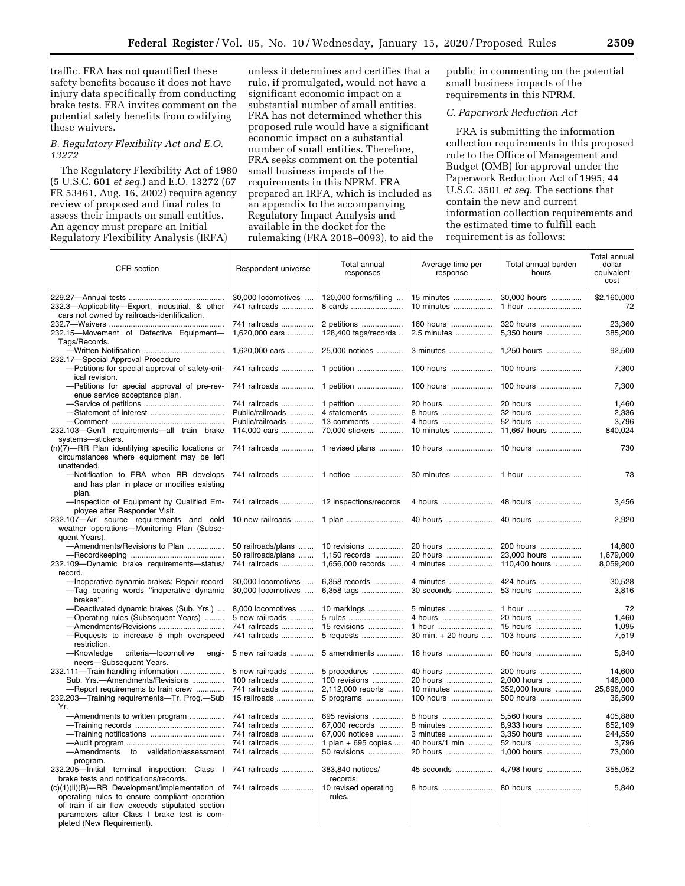traffic. FRA has not quantified these safety benefits because it does not have injury data specifically from conducting brake tests. FRA invites comment on the potential safety benefits from codifying these waivers.

## *B. Regulatory Flexibility Act and E.O. 13272*

The Regulatory Flexibility Act of 1980 (5 U.S.C. 601 *et seq.*) and E.O. 13272 (67 FR 53461, Aug. 16, 2002) require agency review of proposed and final rules to assess their impacts on small entities. An agency must prepare an Initial Regulatory Flexibility Analysis (IRFA)

unless it determines and certifies that a rule, if promulgated, would not have a significant economic impact on a substantial number of small entities. FRA has not determined whether this proposed rule would have a significant economic impact on a substantial number of small entities. Therefore, FRA seeks comment on the potential small business impacts of the requirements in this NPRM. FRA prepared an IRFA, which is included as an appendix to the accompanying Regulatory Impact Analysis and available in the docket for the rulemaking (FRA 2018–0093), to aid the

public in commenting on the potential small business impacts of the requirements in this NPRM.

# *C. Paperwork Reduction Act*

FRA is submitting the information collection requirements in this proposed rule to the Office of Management and Budget (OMB) for approval under the Paperwork Reduction Act of 1995, 44 U.S.C. 3501 *et seq.* The sections that contain the new and current information collection requirements and the estimated time to fulfill each requirement is as follows:

| CFR section                                                                                                  | Respondent universe                 | Total annual<br>responses           | Average time per<br>response | Total annual burden<br>hours | Total annual<br>dollar<br>equivalent<br>cost |
|--------------------------------------------------------------------------------------------------------------|-------------------------------------|-------------------------------------|------------------------------|------------------------------|----------------------------------------------|
| 232.3-Applicability-Export, industrial, & other                                                              | 30,000 locomotives<br>741 railroads | 120,000 forms/filling<br>8 cards    | 15 minutes<br>10 minutes     | 30,000 hours<br>1 hour       | \$2,160,000<br>72                            |
| cars not owned by railroads-identification.<br>232.15-Movement of Defective Equipment-                       | 741 railroads<br>1,620,000 cars     | 2 petitions<br>128,400 tags/records | 160 hours<br>2.5 minutes     | 320 hours<br>5,350 hours     | 23,360<br>385,200                            |
| Tags/Records.                                                                                                |                                     |                                     |                              |                              |                                              |
| 232.17-Special Approval Procedure                                                                            | 1,620,000 cars                      | 25,000 notices                      | 3 minutes                    | 1,250 hours                  | 92,500                                       |
| -Petitions for special approval of safety-crit-<br>ical revision.                                            | 741 railroads                       | 1 petition                          | 100 hours                    | 100 hours                    | 7,300                                        |
| -Petitions for special approval of pre-rev-<br>enue service acceptance plan.                                 | 741 railroads                       | 1 petition                          | 100 hours                    | 100 hours                    | 7,300                                        |
|                                                                                                              | 741 railroads                       | 1 petition                          | 20 hours                     | 20 hours                     | 1,460                                        |
|                                                                                                              | Public/railroads                    | 4 statements                        | 8 hours                      | 32 hours                     | 2,336                                        |
|                                                                                                              | Public/railroads                    | 13 comments                         | 4 hours                      | 52 hours                     | 3,796                                        |
| 232.103-Gen'l requirements-all train brake<br>systems-stickers.                                              | 114,000 cars                        | 70,000 stickers                     | 10 minutes                   | 11,667 hours                 | 840,024                                      |
| (n)(7)-RR Plan identifying specific locations or<br>circumstances where equipment may be left<br>unattended. | 741 railroads                       | 1 revised plans                     | 10 hours                     | 10 hours                     | 730                                          |
| -Notification to FRA when RR develops<br>and has plan in place or modifies existing<br>plan.                 | 741 railroads                       | 1 notice                            | 30 minutes                   | 1 hour                       | 73                                           |
| -Inspection of Equipment by Qualified Em-<br>ployee after Responder Visit.                                   | 741 railroads                       | 12 inspections/records              | 4 hours                      | 48 hours                     | 3,456                                        |
| 232.107-Air source requirements and cold<br>weather operations-Monitoring Plan (Subse-<br>quent Years).      | 10 new railroads                    | 1 plan                              | 40 hours                     | 40 hours                     | 2,920                                        |
| -Amendments/Revisions to Plan                                                                                | 50 railroads/plans                  | 10 revisions                        | 20 hours                     | 200 hours                    | 14,600                                       |
|                                                                                                              | 50 railroads/plans                  | 1.150 records                       | 20 hours                     | 23.000 hours                 | 1.679.000                                    |
| 232.109-Dynamic brake requirements-status/<br>record.                                                        | 741 railroads                       | 1,656,000 records                   | 4 minutes                    | 110,400 hours                | 8,059,200                                    |
| -Inoperative dynamic brakes: Repair record                                                                   | 30,000 locomotives                  | 6,358 records                       | 4 minutes                    | 424 hours                    | 30,528                                       |
| -Tag bearing words "inoperative dynamic<br>brakes".                                                          | 30,000 locomotives                  | 6,358 tags                          | 30 seconds                   | 53 hours                     | 3,816                                        |
| -Deactivated dynamic brakes (Sub. Yrs.)                                                                      | 8,000 locomotives                   | 10 markings                         | 5 minutes                    | 1 hour                       | 72                                           |
| -Operating rules (Subsequent Years)                                                                          | 5 new railroads                     | 5 rules                             | 4 hours                      | 20 hours                     | 1,460                                        |
| -Amendments/Revisions                                                                                        | 741 railroads                       | 15 revisions                        | 1 hour                       | 15 hours                     | 1,095                                        |
| -Requests to increase 5 mph overspeed<br>restriction.                                                        | 741 railroads                       | 5 requests                          | 30 min. + 20 hours           | 103 hours                    | 7,519                                        |
| -Knowledge<br>criteria-locomotive<br>engi-<br>neers-Subsequent Years.                                        | 5 new railroads                     | 5 amendments                        | 16 hours                     | 80 hours                     | 5,840                                        |
| 232.111-Train handling information                                                                           | 5 new railroads                     | 5 procedures                        | 40 hours                     | 200 hours                    | 14,600                                       |
| Sub. Yrs.--Amendments/Revisions                                                                              | 100 railroads                       | 100 revisions                       | 20 hours                     | 2.000 hours                  | 146.000                                      |
| -Report requirements to train crew                                                                           | 741 railroads                       | 2,112,000 reports                   | 10 minutes                   | 352,000 hours                | 25,696,000                                   |
| 232.203-Training requirements-Tr. Prog.-Sub<br>Yr.                                                           | 15 railroads                        | 5 programs                          | 100 hours                    | 500 hours                    | 36,500                                       |
| -Amendments to written program                                                                               | 741 railroads                       | 695 revisions                       | 8 hours                      | 5,560 hours                  | 405,880                                      |
|                                                                                                              | 741 railroads                       | 67,000 records                      | 8 minutes                    | 8,933 hours                  | 652,109                                      |
|                                                                                                              | 741 railroads                       | 67,000 notices                      | 3 minutes                    | 3.350 hours                  | 244,550                                      |
|                                                                                                              | 741 railroads                       | 1 plan + 695 copies                 | 40 hours/1 min               | 52 hours                     | 3,796                                        |
| -Amendments to validation/assessment<br>program.                                                             | 741 railroads                       | 50 revisions                        | 20 hours                     | 1,000 hours                  | 73,000                                       |
| 232.205-Initial terminal inspection: Class I<br>brake tests and notifications/records.                       | 741 railroads                       | 383,840 notices/<br>records.        | 45 seconds                   | 4,798 hours                  | 355,052                                      |
| (c)(1)(ii)(B)-RR Development/implementation of                                                               | 741 railroads                       | 10 revised operating                |                              | 80 hours                     | 5,840                                        |
| operating rules to ensure compliant operation<br>of train if air flow exceeds stipulated section             |                                     | rules.                              |                              |                              |                                              |
| parameters after Class I brake test is com-<br>pleted (New Requirement).                                     |                                     |                                     |                              |                              |                                              |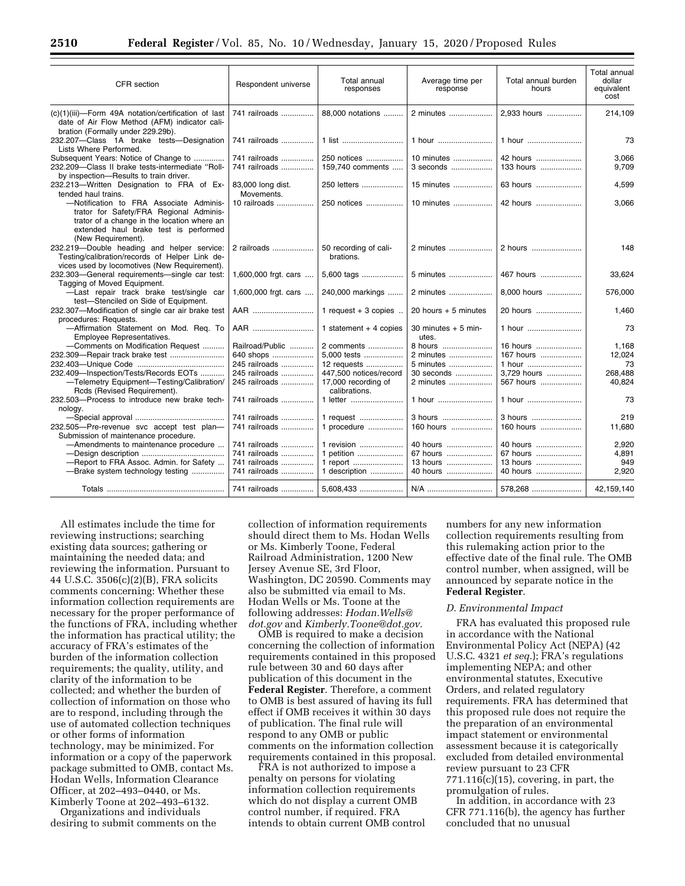| CFR section                                                                                                                                                                                      | Respondent universe             | Total annual<br>responses            | Average time per<br>response  | Total annual burden<br>hours | Total annual<br>dollar<br>equivalent<br>cost |
|--------------------------------------------------------------------------------------------------------------------------------------------------------------------------------------------------|---------------------------------|--------------------------------------|-------------------------------|------------------------------|----------------------------------------------|
| (c)(1)(iii)-Form 49A notation/certification of last<br>date of Air Flow Method (AFM) indicator cali-                                                                                             | 741 railroads                   | 88.000 notations                     | 2 minutes                     | 2.933 hours                  | 214,109                                      |
| bration (Formally under 229.29b).<br>232.207-Class 1A brake tests-Designation<br>Lists Where Performed.                                                                                          | 741 railroads                   | 1 list                               | 1 hour                        | 1 hour                       | 73                                           |
| Subsequent Years: Notice of Change to<br>232.209-Class II brake tests-intermediate "Roll-<br>by inspection-Results to train driver.                                                              | 741 railroads<br>741 railroads  | 250 notices<br>159.740 comments      | 10 minutes<br>3 seconds       | 42 hours<br>133 hours        | 3,066<br>9,709                               |
| 232.213-Written Designation to FRA of Ex-<br>tended haul trains.                                                                                                                                 | 83,000 long dist.<br>Movements. | 250 letters                          | 15 minutes                    | 63 hours                     | 4,599                                        |
| -Notification to FRA Associate Adminis-<br>trator for Safety/FRA Regional Adminis-<br>trator of a change in the location where an<br>extended haul brake test is performed<br>(New Requirement). | 10 railroads                    | 250 notices                          | 10 minutes                    | 42 hours                     | 3,066                                        |
| 232.219-Double heading and helper service:<br>Testing/calibration/records of Helper Link de-<br>vices used by locomotives (New Requirement).                                                     | 2 railroads                     | 50 recording of cali-<br>brations.   | 2 minutes                     | 2 hours                      | 148                                          |
| 232.303-General requirements-single car test:<br>Tagging of Moved Equipment.                                                                                                                     | 1,600,000 frgt. cars            | 5,600 tags                           | 5 minutes                     | 467 hours                    | 33,624                                       |
| -Last repair track brake test/single car<br>test-Stenciled on Side of Equipment.                                                                                                                 | 1,600,000 frgt. cars            | 240,000 markings                     | 2 minutes                     | 8.000 hours                  | 576,000                                      |
| 232.307-Modification of single car air brake test<br>procedures: Requests.                                                                                                                       | AAR                             | 1 request $+3$ copies                | 20 hours $+5$ minutes         | 20 hours                     | 1.460                                        |
| -Affirmation Statement on Mod. Reg. To<br>Employee Representatives.                                                                                                                              | AAR                             | 1 statement $+4$ copies              | 30 minutes $+5$ min-<br>utes. | 1 hour                       | 73                                           |
| -Comments on Modification Request                                                                                                                                                                | Railroad/Public                 | 2 comments                           | 8 hours                       | 16 hours                     | 1,168                                        |
|                                                                                                                                                                                                  | 640 shops                       | 5,000 tests                          | 2 minutes                     | 167 hours                    | 12,024                                       |
|                                                                                                                                                                                                  | 245 railroads                   | 12 requests                          | 5 minutes                     | 1 hour                       | 73                                           |
| 232.409-Inspection/Tests/Records EOTs                                                                                                                                                            | 245 railroads                   | 447.500 notices/record               | 30 seconds                    | 3.729 hours                  | 268,488                                      |
| -Telemetry Equipment-Testing/Calibration/<br>Rcds (Revised Requirement).                                                                                                                         | 245 railroads                   | 17,000 recording of<br>calibrations. | 2 minutes                     | 567 hours                    | 40,824                                       |
| 232.503-Process to introduce new brake tech-<br>nology.                                                                                                                                          | 741 railroads                   | 1 letter                             | 1 hour                        | 1 hour                       | 73                                           |
|                                                                                                                                                                                                  | 741 railroads                   | 1 request                            | 3 hours                       | 3 hours                      | 219                                          |
| 232.505-Pre-revenue svc accept test plan-                                                                                                                                                        | 741 railroads                   | 1 procedure                          | 160 hours                     | 160 hours                    | 11,680                                       |
| Submission of maintenance procedure.                                                                                                                                                             |                                 |                                      |                               |                              |                                              |
| -Amendments to maintenance procedure                                                                                                                                                             | 741 railroads                   | 1 revision                           | 40 hours                      | 40 hours                     | 2,920                                        |
|                                                                                                                                                                                                  | 741 railroads                   | 1 petition                           | 67 hours                      | 67 hours                     | 4,891                                        |
| -Report to FRA Assoc. Admin. for Safety                                                                                                                                                          | 741 railroads                   | 1 report                             | 13 hours                      | 13 hours                     | 949                                          |
| -Brake system technology testing                                                                                                                                                                 | 741 railroads                   | 1 description                        | 40 hours                      | 40 hours                     | 2,920                                        |
|                                                                                                                                                                                                  | 741 railroads                   | $5.608.433$                          | N/A                           | 578,268                      | 42,159,140                                   |

All estimates include the time for reviewing instructions; searching existing data sources; gathering or maintaining the needed data; and reviewing the information. Pursuant to 44 U.S.C. 3506(c)(2)(B), FRA solicits comments concerning: Whether these information collection requirements are necessary for the proper performance of the functions of FRA, including whether the information has practical utility; the accuracy of FRA's estimates of the burden of the information collection requirements; the quality, utility, and clarity of the information to be collected; and whether the burden of collection of information on those who are to respond, including through the use of automated collection techniques or other forms of information technology, may be minimized. For information or a copy of the paperwork package submitted to OMB, contact Ms. Hodan Wells, Information Clearance Officer, at 202–493–0440, or Ms. Kimberly Toone at 202–493–6132.

Organizations and individuals desiring to submit comments on the collection of information requirements should direct them to Ms. Hodan Wells or Ms. Kimberly Toone, Federal Railroad Administration, 1200 New Jersey Avenue SE, 3rd Floor, Washington, DC 20590. Comments may also be submitted via email to Ms. Hodan Wells or Ms. Toone at the following addresses: *[Hodan.Wells@](mailto:Hodan.Wells@dot.gov) [dot.gov](mailto:Hodan.Wells@dot.gov)* and *[Kimberly.Toone@dot.gov.](mailto:Kimberly.Toone@dot.gov)* 

OMB is required to make a decision concerning the collection of information requirements contained in this proposed rule between 30 and 60 days after publication of this document in the **Federal Register**. Therefore, a comment to OMB is best assured of having its full effect if OMB receives it within 30 days of publication. The final rule will respond to any OMB or public comments on the information collection requirements contained in this proposal.

FRA is not authorized to impose a penalty on persons for violating information collection requirements which do not display a current OMB control number, if required. FRA intends to obtain current OMB control numbers for any new information collection requirements resulting from this rulemaking action prior to the effective date of the final rule. The OMB control number, when assigned, will be announced by separate notice in the **Federal Register**.

## *D. Environmental Impact*

FRA has evaluated this proposed rule in accordance with the National Environmental Policy Act (NEPA) (42 U.S.C. 4321 *et seq.*); FRA's regulations implementing NEPA; and other environmental statutes, Executive Orders, and related regulatory requirements. FRA has determined that this proposed rule does not require the the preparation of an environmental impact statement or environmental assessment because it is categorically excluded from detailed environmental review pursuant to 23 CFR 771.116(c)(15), covering, in part, the promulgation of rules.

In addition, in accordance with 23 CFR 771.116(b), the agency has further concluded that no unusual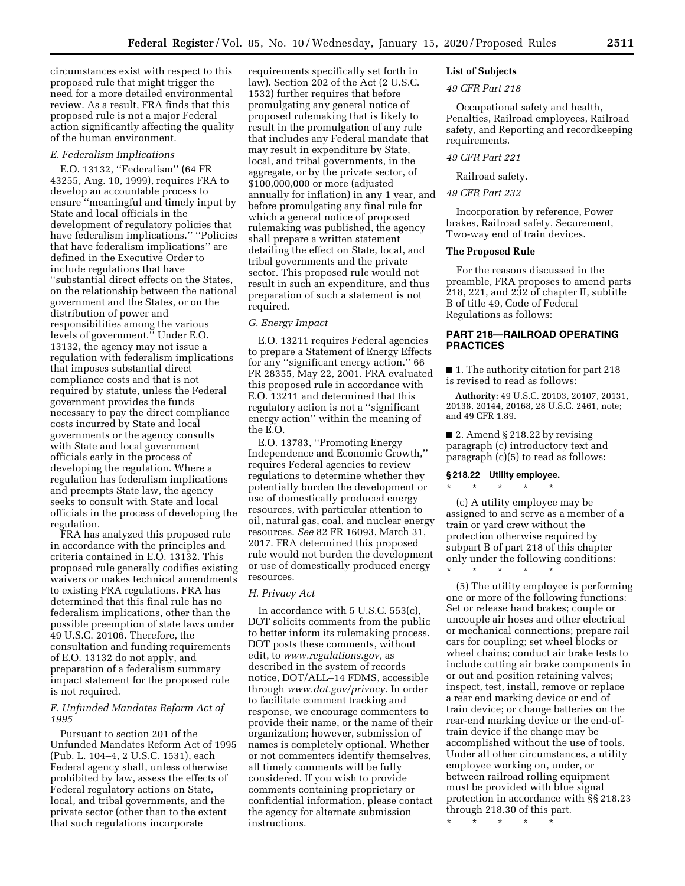circumstances exist with respect to this proposed rule that might trigger the need for a more detailed environmental review. As a result, FRA finds that this proposed rule is not a major Federal action significantly affecting the quality of the human environment.

### *E. Federalism Implications*

E.O. 13132, ''Federalism'' (64 FR 43255, Aug. 10, 1999), requires FRA to develop an accountable process to ensure ''meaningful and timely input by State and local officials in the development of regulatory policies that have federalism implications.'' ''Policies that have federalism implications'' are defined in the Executive Order to include regulations that have ''substantial direct effects on the States, on the relationship between the national government and the States, or on the distribution of power and responsibilities among the various levels of government.'' Under E.O. 13132, the agency may not issue a regulation with federalism implications that imposes substantial direct compliance costs and that is not required by statute, unless the Federal government provides the funds necessary to pay the direct compliance costs incurred by State and local governments or the agency consults with State and local government officials early in the process of developing the regulation. Where a regulation has federalism implications and preempts State law, the agency seeks to consult with State and local officials in the process of developing the regulation.

FRA has analyzed this proposed rule in accordance with the principles and criteria contained in E.O. 13132. This proposed rule generally codifies existing waivers or makes technical amendments to existing FRA regulations. FRA has determined that this final rule has no federalism implications, other than the possible preemption of state laws under 49 U.S.C. 20106. Therefore, the consultation and funding requirements of E.O. 13132 do not apply, and preparation of a federalism summary impact statement for the proposed rule is not required.

## *F. Unfunded Mandates Reform Act of 1995*

Pursuant to section 201 of the Unfunded Mandates Reform Act of 1995 (Pub. L. 104–4, 2 U.S.C. 1531), each Federal agency shall, unless otherwise prohibited by law, assess the effects of Federal regulatory actions on State, local, and tribal governments, and the private sector (other than to the extent that such regulations incorporate

requirements specifically set forth in law). Section 202 of the Act (2 U.S.C. 1532) further requires that before promulgating any general notice of proposed rulemaking that is likely to result in the promulgation of any rule that includes any Federal mandate that may result in expenditure by State, local, and tribal governments, in the aggregate, or by the private sector, of \$100,000,000 or more (adjusted annually for inflation) in any 1 year, and before promulgating any final rule for which a general notice of proposed rulemaking was published, the agency shall prepare a written statement detailing the effect on State, local, and tribal governments and the private sector. This proposed rule would not result in such an expenditure, and thus preparation of such a statement is not required.

#### *G. Energy Impact*

E.O. 13211 requires Federal agencies to prepare a Statement of Energy Effects for any ''significant energy action.'' 66 FR 28355, May 22, 2001. FRA evaluated this proposed rule in accordance with E.O. 13211 and determined that this regulatory action is not a ''significant energy action'' within the meaning of the E.O.

E.O. 13783, ''Promoting Energy Independence and Economic Growth,'' requires Federal agencies to review regulations to determine whether they potentially burden the development or use of domestically produced energy resources, with particular attention to oil, natural gas, coal, and nuclear energy resources. *See* 82 FR 16093, March 31, 2017. FRA determined this proposed rule would not burden the development or use of domestically produced energy resources.

#### *H. Privacy Act*

In accordance with 5 U.S.C. 553(c), DOT solicits comments from the public to better inform its rulemaking process. DOT posts these comments, without edit, to *[www.regulations.gov,](http://www.regulations.gov)* as described in the system of records notice, DOT/ALL–14 FDMS, accessible through *[www.dot.gov/privacy.](http://www.dot.gov/privacy)* In order to facilitate comment tracking and response, we encourage commenters to provide their name, or the name of their organization; however, submission of names is completely optional. Whether or not commenters identify themselves, all timely comments will be fully considered. If you wish to provide comments containing proprietary or confidential information, please contact the agency for alternate submission instructions.

# **List of Subjects**

#### *49 CFR Part 218*

Occupational safety and health, Penalties, Railroad employees, Railroad safety, and Reporting and recordkeeping requirements.

## *49 CFR Part 221*

Railroad safety.

## *49 CFR Part 232*

Incorporation by reference, Power brakes, Railroad safety, Securement, Two-way end of train devices.

#### **The Proposed Rule**

For the reasons discussed in the preamble, FRA proposes to amend parts 218, 221, and 232 of chapter II, subtitle B of title 49, Code of Federal Regulations as follows:

# **PART 218—RAILROAD OPERATING PRACTICES**

■ 1. The authority citation for part 218 is revised to read as follows:

**Authority:** 49 U.S.C. 20103, 20107, 20131, 20138, 20144, 20168, 28 U.S.C. 2461, note; and 49 CFR 1.89.

 $\blacksquare$  2. Amend § 218.22 by revising paragraph (c) introductory text and paragraph (c)(5) to read as follows:

## **§ 218.22 Utility employee.**

\* \* \* \* \* (c) A utility employee may be assigned to and serve as a member of a train or yard crew without the protection otherwise required by subpart B of part 218 of this chapter only under the following conditions: \* \* \* \* \*

(5) The utility employee is performing one or more of the following functions: Set or release hand brakes; couple or uncouple air hoses and other electrical or mechanical connections; prepare rail cars for coupling; set wheel blocks or wheel chains; conduct air brake tests to include cutting air brake components in or out and position retaining valves; inspect, test, install, remove or replace a rear end marking device or end of train device; or change batteries on the rear-end marking device or the end-oftrain device if the change may be accomplished without the use of tools. Under all other circumstances, a utility employee working on, under, or between railroad rolling equipment must be provided with blue signal protection in accordance with §§ 218.23 through 218.30 of this part.

\* \* \* \* \*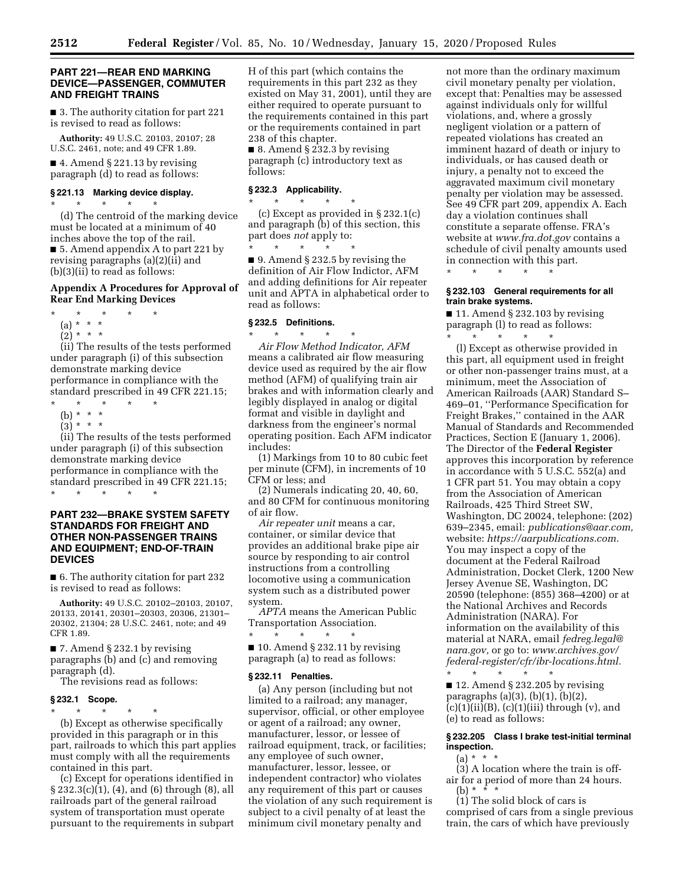#### **PART 221—REAR END MARKING DEVICE—PASSENGER, COMMUTER AND FREIGHT TRAINS**

■ 3. The authority citation for part 221 is revised to read as follows:

**Authority:** 49 U.S.C. 20103, 20107; 28 U.S.C. 2461, note; and 49 CFR 1.89.

 $\blacksquare$  4. Amend § 221.13 by revising paragraph (d) to read as follows:

#### **§ 221.13 Marking device display.**

\* \* \* \* \* (d) The centroid of the marking device must be located at a minimum of 40 inches above the top of the rail. ■ 5. Amend appendix A to part 221 by revising paragraphs (a)(2)(ii) and (b)(3)(ii) to read as follows:

## **Appendix A Procedures for Approval of Rear End Marking Devices**

- \* \* \* \* \*
- (a) \* \* \*
- $(2)^*$  \* \* \*

(ii) The results of the tests performed under paragraph (i) of this subsection demonstrate marking device performance in compliance with the standard prescribed in 49 CFR 221.15;

- \* \* \* \* \*
- (b) \* \* \*
- $(3) * * * *$

(ii) The results of the tests performed under paragraph (i) of this subsection demonstrate marking device performance in compliance with the standard prescribed in 49 CFR 221.15;

\* \* \* \* \*

## **PART 232—BRAKE SYSTEM SAFETY STANDARDS FOR FREIGHT AND OTHER NON-PASSENGER TRAINS AND EQUIPMENT; END-OF-TRAIN DEVICES**

■ 6. The authority citation for part 232 is revised to read as follows:

**Authority:** 49 U.S.C. 20102–20103, 20107, 20133, 20141, 20301–20303, 20306, 21301– 20302, 21304; 28 U.S.C. 2461, note; and 49 CFR 1.89.

■ 7. Amend § 232.1 by revising paragraphs (b) and (c) and removing paragraph (d).

The revisions read as follows:

#### **§ 232.1 Scope.**

\* \* \* \* \* (b) Except as otherwise specifically provided in this paragraph or in this part, railroads to which this part applies must comply with all the requirements contained in this part.

(c) Except for operations identified in § 232.3(c)(1), (4), and (6) through (8), all railroads part of the general railroad system of transportation must operate pursuant to the requirements in subpart H of this part (which contains the requirements in this part 232 as they existed on May 31, 2001), until they are either required to operate pursuant to the requirements contained in this part or the requirements contained in part 238 of this chapter.

■ 8. Amend § 232.3 by revising paragraph (c) introductory text as follows:

## **§ 232.3 Applicability.**

\* \* \* \* \* (c) Except as provided in § 232.1(c) and paragraph (b) of this section, this part does *not* apply to:

\* \* \* \* \* ■ 9. Amend § 232.5 by revising the definition of Air Flow Indictor, AFM and adding definitions for Air repeater unit and APTA in alphabetical order to read as follows:

## **§ 232.5 Definitions.**

\* \* \* \* \* *Air Flow Method Indicator, AFM*  means a calibrated air flow measuring device used as required by the air flow method (AFM) of qualifying train air brakes and with information clearly and legibly displayed in analog or digital format and visible in daylight and darkness from the engineer's normal operating position. Each AFM indicator includes:

(1) Markings from 10 to 80 cubic feet per minute (CFM), in increments of 10 CFM or less; and

(2) Numerals indicating 20, 40, 60, and 80 CFM for continuous monitoring of air flow.

*Air repeater unit* means a car, container, or similar device that provides an additional brake pipe air source by responding to air control instructions from a controlling locomotive using a communication system such as a distributed power system.

*APTA* means the American Public Transportation Association.

\* \* \* \* \* ■ 10. Amend § 232.11 by revising paragraph (a) to read as follows:

#### **§ 232.11 Penalties.**

(a) Any person (including but not limited to a railroad; any manager, supervisor, official, or other employee or agent of a railroad; any owner, manufacturer, lessor, or lessee of railroad equipment, track, or facilities; any employee of such owner, manufacturer, lessor, lessee, or independent contractor) who violates any requirement of this part or causes the violation of any such requirement is subject to a civil penalty of at least the minimum civil monetary penalty and

not more than the ordinary maximum civil monetary penalty per violation, except that: Penalties may be assessed against individuals only for willful violations, and, where a grossly negligent violation or a pattern of repeated violations has created an imminent hazard of death or injury to individuals, or has caused death or injury, a penalty not to exceed the aggravated maximum civil monetary penalty per violation may be assessed. See 49 CFR part 209, appendix A. Each day a violation continues shall constitute a separate offense. FRA's website at *[www.fra.dot.gov](http://www.fra.dot.gov)* contains a schedule of civil penalty amounts used in connection with this part.

\* \* \* \* \*

#### **§ 232.103 General requirements for all train brake systems.**

■ 11. Amend § 232.103 by revising paragraph (l) to read as follows: \* \* \* \* \*

(l) Except as otherwise provided in this part, all equipment used in freight or other non-passenger trains must, at a minimum, meet the Association of American Railroads (AAR) Standard S– 469–01, ''Performance Specification for Freight Brakes,'' contained in the AAR Manual of Standards and Recommended Practices, Section E (January 1, 2006). The Director of the **Federal Register**  approves this incorporation by reference in accordance with 5 U.S.C. 552(a) and 1 CFR part 51. You may obtain a copy from the Association of American Railroads, 425 Third Street SW, Washington, DC 20024, telephone: (202) 639–2345, email: *[publications@aar.com,](mailto:publications@aar.com)*  website: *[https://aarpublications.com.](https://aarpublications.com)*  You may inspect a copy of the document at the Federal Railroad Administration, Docket Clerk, 1200 New Jersey Avenue SE, Washington, DC 20590 (telephone: (855) 368–4200) or at the National Archives and Records Administration (NARA). For information on the availability of this material at NARA, email *[fedreg.legal@](mailto:fedreg.legal@nara.gov) [nara.gov,](mailto:fedreg.legal@nara.gov)* or go to: *[www.archives.gov/](http://www.archives.gov/federal-register/cfr/ibr-locations.html) [federal-register/cfr/ibr-locations.html.](http://www.archives.gov/federal-register/cfr/ibr-locations.html)*  \* \* \* \* \*

■ 12. Amend § 232.205 by revising paragraphs (a)(3), (b)(1), (b)(2),  $(c)(1)(ii)(B)$ ,  $(c)(1)(iii)$  through  $(v)$ , and (e) to read as follows:

## **§ 232.205 Class I brake test-initial terminal inspection.**

 $(a) * * * *$ 

(3) A location where the train is offair for a period of more than 24 hours. (b)  $*$ 

(1) The solid block of cars is comprised of cars from a single previous train, the cars of which have previously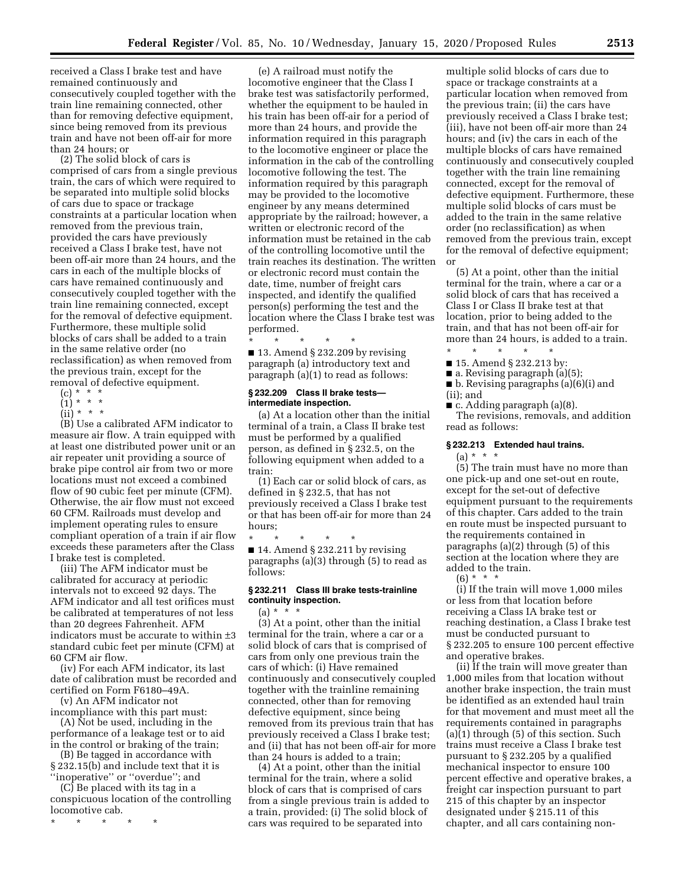received a Class I brake test and have remained continuously and consecutively coupled together with the train line remaining connected, other than for removing defective equipment, since being removed from its previous train and have not been off-air for more than 24 hours; or

(2) The solid block of cars is comprised of cars from a single previous train, the cars of which were required to be separated into multiple solid blocks of cars due to space or trackage constraints at a particular location when removed from the previous train, provided the cars have previously received a Class I brake test, have not been off-air more than 24 hours, and the cars in each of the multiple blocks of cars have remained continuously and consecutively coupled together with the train line remaining connected, except for the removal of defective equipment. Furthermore, these multiple solid blocks of cars shall be added to a train in the same relative order (no reclassification) as when removed from the previous train, except for the removal of defective equipment.

- $(c) * * * *$
- $(1) * * * *$
- $(ii)* **$

(B) Use a calibrated AFM indicator to measure air flow. A train equipped with at least one distributed power unit or an air repeater unit providing a source of brake pipe control air from two or more locations must not exceed a combined flow of 90 cubic feet per minute (CFM). Otherwise, the air flow must not exceed 60 CFM. Railroads must develop and implement operating rules to ensure compliant operation of a train if air flow exceeds these parameters after the Class I brake test is completed.

(iii) The AFM indicator must be calibrated for accuracy at periodic intervals not to exceed 92 days. The AFM indicator and all test orifices must be calibrated at temperatures of not less than 20 degrees Fahrenheit. AFM indicators must be accurate to within ±3 standard cubic feet per minute (CFM) at 60 CFM air flow.

(iv) For each AFM indicator, its last date of calibration must be recorded and certified on Form F6180–49A.

(v) An AFM indicator not

incompliance with this part must: (A) Not be used, including in the performance of a leakage test or to aid

in the control or braking of the train; (B) Be tagged in accordance with

§ 232.15(b) and include text that it is ''inoperative'' or ''overdue''; and

(C) Be placed with its tag in a conspicuous location of the controlling locomotive cab.

\* \* \* \* \*

(e) A railroad must notify the locomotive engineer that the Class I brake test was satisfactorily performed, whether the equipment to be hauled in his train has been off-air for a period of more than 24 hours, and provide the information required in this paragraph to the locomotive engineer or place the information in the cab of the controlling locomotive following the test. The information required by this paragraph may be provided to the locomotive engineer by any means determined appropriate by the railroad; however, a written or electronic record of the information must be retained in the cab of the controlling locomotive until the train reaches its destination. The written or electronic record must contain the date, time, number of freight cars inspected, and identify the qualified person(s) performing the test and the location where the Class I brake test was performed.

\* \* \* \* \* ■ 13. Amend § 232.209 by revising paragraph (a) introductory text and paragraph (a)(1) to read as follows:

## **§ 232.209 Class II brake tests intermediate inspection.**

(a) At a location other than the initial terminal of a train, a Class II brake test must be performed by a qualified person, as defined in § 232.5, on the following equipment when added to a train:

(1) Each car or solid block of cars, as defined in § 232.5, that has not previously received a Class I brake test or that has been off-air for more than 24 hours;

\* \* \* \* \* ■ 14. Amend § 232.211 by revising paragraphs (a)(3) through (5) to read as follows:

## **§ 232.211 Class III brake tests-trainline continuity inspection.**  (a) \* \* \*

(3) At a point, other than the initial terminal for the train, where a car or a solid block of cars that is comprised of cars from only one previous train the cars of which: (i) Have remained continuously and consecutively coupled together with the trainline remaining connected, other than for removing defective equipment, since being removed from its previous train that has previously received a Class I brake test; and (ii) that has not been off-air for more than 24 hours is added to a train;

(4) At a point, other than the initial terminal for the train, where a solid block of cars that is comprised of cars from a single previous train is added to a train, provided: (i) The solid block of cars was required to be separated into

multiple solid blocks of cars due to space or trackage constraints at a particular location when removed from the previous train; (ii) the cars have previously received a Class I brake test; (iii), have not been off-air more than 24 hours; and (iv) the cars in each of the multiple blocks of cars have remained continuously and consecutively coupled together with the train line remaining connected, except for the removal of defective equipment. Furthermore, these multiple solid blocks of cars must be added to the train in the same relative order (no reclassification) as when removed from the previous train, except for the removal of defective equipment; or

(5) At a point, other than the initial terminal for the train, where a car or a solid block of cars that has received a Class I or Class II brake test at that location, prior to being added to the train, and that has not been off-air for more than 24 hours, is added to a train.

\* \* \* \* \* ■ 15. Amend § 232.213 by:

- a. Revising paragraph (a)(5);
- b. Revising paragraphs (a)(6)(i) and

(ii); and

■ c. Adding paragraph (a)(8).

The revisions, removals, and addition read as follows:

#### **§ 232.213 Extended haul trains.**

 $(a) * * * *$ 

(5) The train must have no more than one pick-up and one set-out en route, except for the set-out of defective equipment pursuant to the requirements of this chapter. Cars added to the train en route must be inspected pursuant to the requirements contained in paragraphs (a)(2) through (5) of this section at the location where they are added to the train.

 $(6) * * * *$ 

(i) If the train will move 1,000 miles or less from that location before receiving a Class IA brake test or reaching destination, a Class I brake test must be conducted pursuant to § 232.205 to ensure 100 percent effective and operative brakes.

(ii) If the train will move greater than 1,000 miles from that location without another brake inspection, the train must be identified as an extended haul train for that movement and must meet all the requirements contained in paragraphs (a)(1) through (5) of this section. Such trains must receive a Class I brake test pursuant to § 232.205 by a qualified mechanical inspector to ensure 100 percent effective and operative brakes, a freight car inspection pursuant to part 215 of this chapter by an inspector designated under § 215.11 of this chapter, and all cars containing non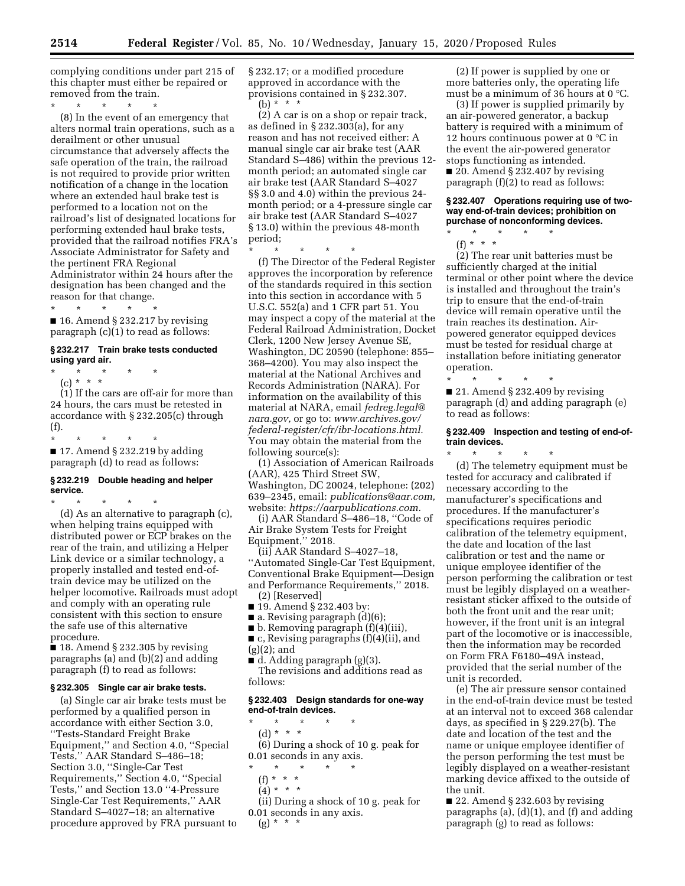complying conditions under part 215 of this chapter must either be repaired or removed from the train.

 $\star$   $\qquad$   $\star$   $\qquad$   $\star$ 

(8) In the event of an emergency that alters normal train operations, such as a derailment or other unusual circumstance that adversely affects the safe operation of the train, the railroad is not required to provide prior written notification of a change in the location where an extended haul brake test is performed to a location not on the railroad's list of designated locations for performing extended haul brake tests, provided that the railroad notifies FRA's Associate Administrator for Safety and the pertinent FRA Regional Administrator within 24 hours after the designation has been changed and the reason for that change.

\* \* \* \* \*  $\blacksquare$  16. Amend § 232.217 by revising paragraph (c)(1) to read as follows:

## **§ 232.217 Train brake tests conducted using yard air.**

\* \* \* \* \*

(c) \* \* \* (1) If the cars are off-air for more than 24 hours, the cars must be retested in accordance with § 232.205(c) through (f).

\* \* \* \* \*

■ 17. Amend § 232.219 by adding paragraph (d) to read as follows:

## **§ 232.219 Double heading and helper service.**

\* \* \* \* \* (d) As an alternative to paragraph (c), when helping trains equipped with distributed power or ECP brakes on the rear of the train, and utilizing a Helper Link device or a similar technology, a properly installed and tested end-oftrain device may be utilized on the helper locomotive. Railroads must adopt and comply with an operating rule consistent with this section to ensure the safe use of this alternative procedure.

 $\blacksquare$  18. Amend § 232.305 by revising paragraphs (a) and (b)(2) and adding paragraph (f) to read as follows:

#### **§ 232.305 Single car air brake tests.**

(a) Single car air brake tests must be performed by a qualified person in accordance with either Section 3.0, ''Tests-Standard Freight Brake Equipment,'' and Section 4.0, ''Special Tests,'' AAR Standard S–486–18; Section 3.0, ''Single-Car Test Requirements,'' Section 4.0, ''Special Tests,'' and Section 13.0 ''4-Pressure Single-Car Test Requirements,'' AAR Standard S–4027–18; an alternative procedure approved by FRA pursuant to § 232.17; or a modified procedure approved in accordance with the provisions contained in § 232.307. (b) \* \* \*

(2) A car is on a shop or repair track, as defined in § 232.303(a), for any reason and has not received either: A manual single car air brake test (AAR Standard S–486) within the previous 12 month period; an automated single car air brake test (AAR Standard S–4027 §§ 3.0 and 4.0) within the previous 24 month period; or a 4-pressure single car air brake test (AAR Standard S–4027 § 13.0) within the previous 48-month period;

\* \* \* \* \*

(f) The Director of the Federal Register approves the incorporation by reference of the standards required in this section into this section in accordance with 5 U.S.C. 552(a) and 1 CFR part 51. You may inspect a copy of the material at the Federal Railroad Administration, Docket Clerk, 1200 New Jersey Avenue SE, Washington, DC 20590 (telephone: 855– 368–4200). You may also inspect the material at the National Archives and Records Administration (NARA). For information on the availability of this material at NARA, email *[fedreg.legal@](mailto:fedreg.legal@nara.gov) [nara.gov,](mailto:fedreg.legal@nara.gov)* or go to: *[www.archives.gov/](http://www.archives.gov/federal-register/cfr/ibr-locations.html) [federal-register/cfr/ibr-locations.html.](http://www.archives.gov/federal-register/cfr/ibr-locations.html)*  You may obtain the material from the following source(s):

(1) Association of American Railroads (AAR), 425 Third Street SW, Washington, DC 20024, telephone: (202) 639–2345, email: *[publications@aar.com,](mailto:publications@aar.com)*  website: *[https://aarpublications.com.](https://aarpublications.com)* 

(i) AAR Standard S–486–18, ''Code of Air Brake System Tests for Freight Equipment," 2018.

(ii) AAR Standard S–4027–18, ''Automated Single-Car Test Equipment, Conventional Brake Equipment—Design and Performance Requirements,'' 2018. (2) [Reserved]

- 19. Amend § 232.403 by:
- **a.** Revising paragraph  $(d)(6)$ ;
- b. Removing paragraph (f)(4)(iii),

■ c, Revising paragraphs (f)(4)(ii), and  $(g)(2)$ ; and

■ d. Adding paragraph (g)(3).

The revisions and additions read as follows:

## **§ 232.403 Design standards for one-way end-of-train devices.**

\* \* \* \* \* (d) \* \* \* (6) During a shock of 10 g. peak for 0.01 seconds in any axis.

- \* \* \* \* \*
- (f) \* \* \*
- $(4) * * * *$

(ii) During a shock of 10 g. peak for 0.01 seconds in any axis.  $(g) * * * *$ 

(2) If power is supplied by one or more batteries only, the operating life must be a minimum of 36 hours at 0 °C.

(3) If power is supplied primarily by an air-powered generator, a backup battery is required with a minimum of 12 hours continuous power at 0 °C in the event the air-powered generator stops functioning as intended.

 $\Box$  20. Amend § 232.407 by revising paragraph (f)(2) to read as follows:

#### **§ 232.407 Operations requiring use of twoway end-of-train devices; prohibition on purchase of nonconforming devices.**

\* \* \* \* \* (f) \* \* \*

(2) The rear unit batteries must be sufficiently charged at the initial terminal or other point where the device is installed and throughout the train's trip to ensure that the end-of-train device will remain operative until the train reaches its destination. Airpowered generator equipped devices must be tested for residual charge at installation before initiating generator operation.

\* \* \* \* \* ■ 21. Amend § 232.409 by revising paragraph (d) and adding paragraph (e) to read as follows:

#### **§ 232.409 Inspection and testing of end-oftrain devices.**

\* \* \* \* \*

(d) The telemetry equipment must be tested for accuracy and calibrated if necessary according to the manufacturer's specifications and procedures. If the manufacturer's specifications requires periodic calibration of the telemetry equipment, the date and location of the last calibration or test and the name or unique employee identifier of the person performing the calibration or test must be legibly displayed on a weatherresistant sticker affixed to the outside of both the front unit and the rear unit; however, if the front unit is an integral part of the locomotive or is inaccessible, then the information may be recorded on Form FRA F6180–49A instead, provided that the serial number of the unit is recorded.

(e) The air pressure sensor contained in the end-of-train device must be tested at an interval not to exceed 368 calendar days, as specified in § 229.27(b). The date and location of the test and the name or unique employee identifier of the person performing the test must be legibly displayed on a weather-resistant marking device affixed to the outside of the unit.

■ 22. Amend § 232.603 by revising paragraphs (a), (d)(1), and (f) and adding paragraph (g) to read as follows: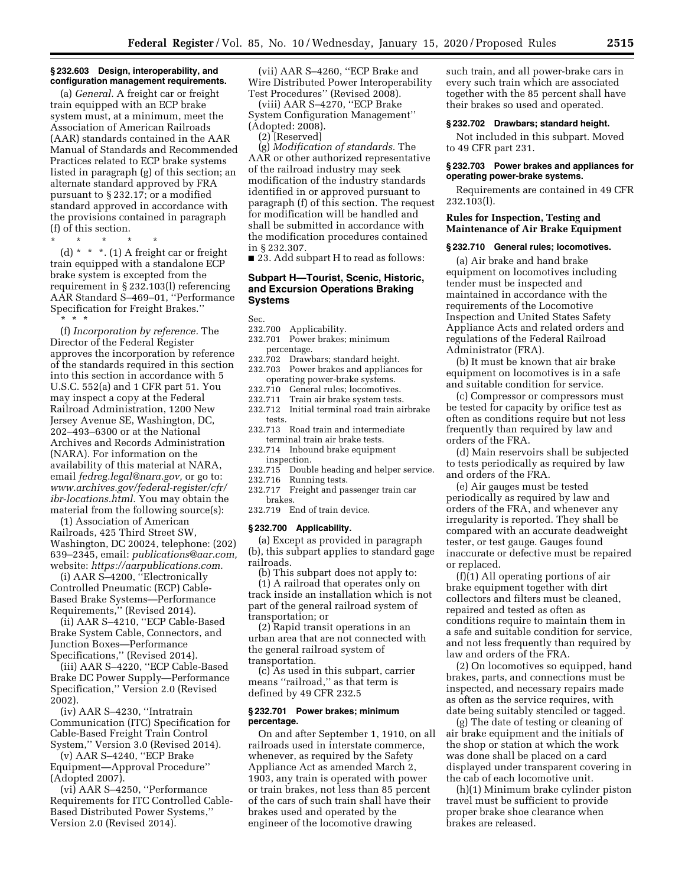#### **§ 232.603 Design, interoperability, and configuration management requirements.**

(a) *General.* A freight car or freight train equipped with an ECP brake system must, at a minimum, meet the Association of American Railroads (AAR) standards contained in the AAR Manual of Standards and Recommended Practices related to ECP brake systems listed in paragraph (g) of this section; an alternate standard approved by FRA pursuant to § 232.17; or a modified standard approved in accordance with the provisions contained in paragraph (f) of this section.

\* \* \* \* \*

(d)  $*$   $*$   $*$ . (1) A freight car or freight train equipped with a standalone ECP brake system is excepted from the requirement in § 232.103(l) referencing AAR Standard S–469–01, ''Performance Specification for Freight Brakes.'' \* \* \*

(f) *Incorporation by reference.* The Director of the Federal Register approves the incorporation by reference of the standards required in this section into this section in accordance with 5 U.S.C. 552(a) and 1 CFR part 51. You may inspect a copy at the Federal Railroad Administration, 1200 New Jersey Avenue SE, Washington, DC, 202–493–6300 or at the National Archives and Records Administration (NARA). For information on the availability of this material at NARA, email *[fedreg.legal@nara.gov,](mailto:fedreg.legal@nara.gov)* or go to: *[www.archives.gov/federal-register/cfr/](http://www.archives.gov/federal-register/cfr/ibr-locations.html)  [ibr-locations.html.](http://www.archives.gov/federal-register/cfr/ibr-locations.html)* You may obtain the material from the following source(s):

(1) Association of American Railroads, 425 Third Street SW, Washington, DC 20024, telephone: (202) 639–2345, email: *[publications@aar.com,](mailto:publications@aar.com)*  website: *[https://aarpublications.com.](https://aarpublications.com)* 

(i) AAR S–4200, ''Electronically Controlled Pneumatic (ECP) Cable-Based Brake Systems—Performance Requirements,'' (Revised 2014).

(ii) AAR S–4210, ''ECP Cable-Based Brake System Cable, Connectors, and Junction Boxes—Performance Specifications,'' (Revised 2014).

(iii) AAR S–4220, ''ECP Cable-Based Brake DC Power Supply—Performance Specification,'' Version 2.0 (Revised 2002).

(iv) AAR S–4230, ''Intratrain Communication (ITC) Specification for Cable-Based Freight Train Control System,'' Version 3.0 (Revised 2014).

(v) AAR S–4240, ''ECP Brake Equipment—Approval Procedure'' (Adopted 2007).

(vi) AAR S–4250, ''Performance Requirements for ITC Controlled Cable-Based Distributed Power Systems,'' Version 2.0 (Revised 2014).

(vii) AAR S–4260, ''ECP Brake and Wire Distributed Power Interoperability Test Procedures'' (Revised 2008).

(viii) AAR S–4270, ''ECP Brake System Configuration Management'' (Adopted: 2008).

(2) [Reserved]

(g) *Modification of standards.* The AAR or other authorized representative of the railroad industry may seek modification of the industry standards identified in or approved pursuant to paragraph (f) of this section. The request for modification will be handled and shall be submitted in accordance with the modification procedures contained in § 232.307.

■ 23. Add subpart H to read as follows:

## **Subpart H—Tourist, Scenic, Historic, and Excursion Operations Braking Systems**

Sec.

#### 232.700 Applicability.

- 232.701 Power brakes; minimum percentage.
- 232.702 Drawbars; standard height. 232.703 Power brakes and appliances for operating power-brake systems.
- 232.710 General rules; locomotives.
- 232.711 Train air brake system tests.
- 232.712 Initial terminal road train airbrake tests.
- 232.713 Road train and intermediate terminal train air brake tests.

232.714 Inbound brake equipment inspection.

232.715 Double heading and helper service. 232.716 Running tests.<br>232.717 Freight and pa

Freight and passenger train car brakes.

232.719 End of train device.

#### **§ 232.700 Applicability.**

(a) Except as provided in paragraph (b), this subpart applies to standard gage railroads.

(b) This subpart does not apply to: (1) A railroad that operates only on track inside an installation which is not part of the general railroad system of transportation; or

(2) Rapid transit operations in an urban area that are not connected with the general railroad system of transportation.

(c) As used in this subpart, carrier means ''railroad,'' as that term is defined by 49 CFR 232.5

## **§ 232.701 Power brakes; minimum percentage.**

On and after September 1, 1910, on all railroads used in interstate commerce, whenever, as required by the Safety Appliance Act as amended March 2, 1903, any train is operated with power or train brakes, not less than 85 percent of the cars of such train shall have their brakes used and operated by the engineer of the locomotive drawing

such train, and all power-brake cars in every such train which are associated together with the 85 percent shall have their brakes so used and operated.

## **§ 232.702 Drawbars; standard height.**

Not included in this subpart. Moved to 49 CFR part 231.

## **§ 232.703 Power brakes and appliances for operating power-brake systems.**

Requirements are contained in 49 CFR 232.103(l).

## **Rules for Inspection, Testing and Maintenance of Air Brake Equipment**

#### **§ 232.710 General rules; locomotives.**

(a) Air brake and hand brake equipment on locomotives including tender must be inspected and maintained in accordance with the requirements of the Locomotive Inspection and United States Safety Appliance Acts and related orders and regulations of the Federal Railroad Administrator (FRA).

(b) It must be known that air brake equipment on locomotives is in a safe and suitable condition for service.

(c) Compressor or compressors must be tested for capacity by orifice test as often as conditions require but not less frequently than required by law and orders of the FRA.

(d) Main reservoirs shall be subjected to tests periodically as required by law and orders of the FRA.

(e) Air gauges must be tested periodically as required by law and orders of the FRA, and whenever any irregularity is reported. They shall be compared with an accurate deadweight tester, or test gauge. Gauges found inaccurate or defective must be repaired or replaced.

(f)(1) All operating portions of air brake equipment together with dirt collectors and filters must be cleaned, repaired and tested as often as conditions require to maintain them in a safe and suitable condition for service, and not less frequently than required by law and orders of the FRA.

(2) On locomotives so equipped, hand brakes, parts, and connections must be inspected, and necessary repairs made as often as the service requires, with date being suitably stenciled or tagged.

(g) The date of testing or cleaning of air brake equipment and the initials of the shop or station at which the work was done shall be placed on a card displayed under transparent covering in the cab of each locomotive unit.

(h)(1) Minimum brake cylinder piston travel must be sufficient to provide proper brake shoe clearance when brakes are released.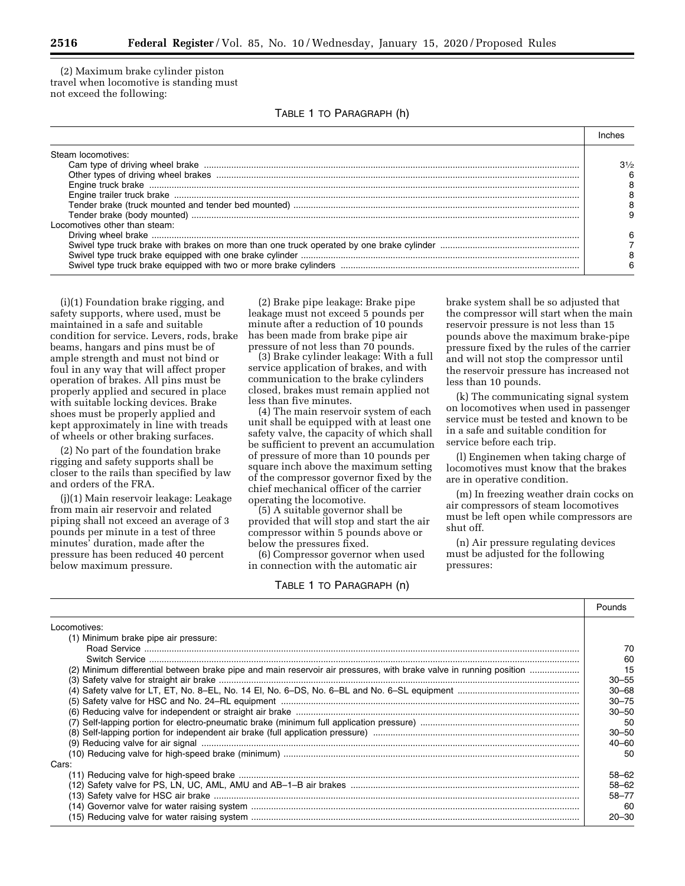(2) Maximum brake cylinder piston travel when locomotive is standing must not exceed the following:

|  |  | TABLE 1 TO PARAGRAPH (h) |  |  |
|--|--|--------------------------|--|--|
|--|--|--------------------------|--|--|

| Steam locomotives:            |                |
|-------------------------------|----------------|
|                               | $3\frac{1}{2}$ |
|                               |                |
|                               |                |
|                               |                |
|                               |                |
|                               |                |
| Locomotives other than steam: |                |
|                               |                |
|                               |                |
|                               |                |
|                               |                |

(i)(1) Foundation brake rigging, and safety supports, where used, must be maintained in a safe and suitable condition for service. Levers, rods, brake beams, hangars and pins must be of ample strength and must not bind or foul in any way that will affect proper operation of brakes. All pins must be properly applied and secured in place with suitable locking devices. Brake shoes must be properly applied and kept approximately in line with treads of wheels or other braking surfaces.

(2) No part of the foundation brake rigging and safety supports shall be closer to the rails than specified by law and orders of the FRA.

(j)(1) Main reservoir leakage: Leakage from main air reservoir and related piping shall not exceed an average of 3 pounds per minute in a test of three minutes' duration, made after the pressure has been reduced 40 percent below maximum pressure.

(2) Brake pipe leakage: Brake pipe leakage must not exceed 5 pounds per minute after a reduction of 10 pounds has been made from brake pipe air pressure of not less than 70 pounds.

(3) Brake cylinder leakage: With a full service application of brakes, and with communication to the brake cylinders closed, brakes must remain applied not less than five minutes.

(4) The main reservoir system of each unit shall be equipped with at least one safety valve, the capacity of which shall be sufficient to prevent an accumulation of pressure of more than 10 pounds per square inch above the maximum setting of the compressor governor fixed by the chief mechanical officer of the carrier operating the locomotive.

(5) A suitable governor shall be provided that will stop and start the air compressor within 5 pounds above or below the pressures fixed.

(6) Compressor governor when used in connection with the automatic air

## TABLE 1 TO PARAGRAPH (n)

brake system shall be so adjusted that the compressor will start when the main reservoir pressure is not less than 15 pounds above the maximum brake-pipe pressure fixed by the rules of the carrier and will not stop the compressor until the reservoir pressure has increased not less than 10 pounds.

(k) The communicating signal system on locomotives when used in passenger service must be tested and known to be in a safe and suitable condition for service before each trip.

(l) Enginemen when taking charge of locomotives must know that the brakes are in operative condition.

(m) In freezing weather drain cocks on air compressors of steam locomotives must be left open while compressors are shut off.

(n) Air pressure regulating devices must be adjusted for the following pressures:

|                                                                                                                    | Pounds    |
|--------------------------------------------------------------------------------------------------------------------|-----------|
| Locomotives:                                                                                                       |           |
| (1) Minimum brake pipe air pressure:                                                                               |           |
|                                                                                                                    | 70        |
|                                                                                                                    | 60        |
| (2) Minimum differential between brake pipe and main reservoir air pressures, with brake valve in running position | 15        |
|                                                                                                                    | 30–55     |
|                                                                                                                    | $30 - 68$ |
|                                                                                                                    | $30 - 75$ |
|                                                                                                                    | $30 - 50$ |
|                                                                                                                    | 50        |
|                                                                                                                    | $30 - 50$ |
|                                                                                                                    | 40-60     |
|                                                                                                                    | 50        |
| Cars:                                                                                                              |           |
|                                                                                                                    | 58–62     |
|                                                                                                                    | 58-62     |
|                                                                                                                    | 58-77     |
|                                                                                                                    | -60       |
|                                                                                                                    | $20 - 30$ |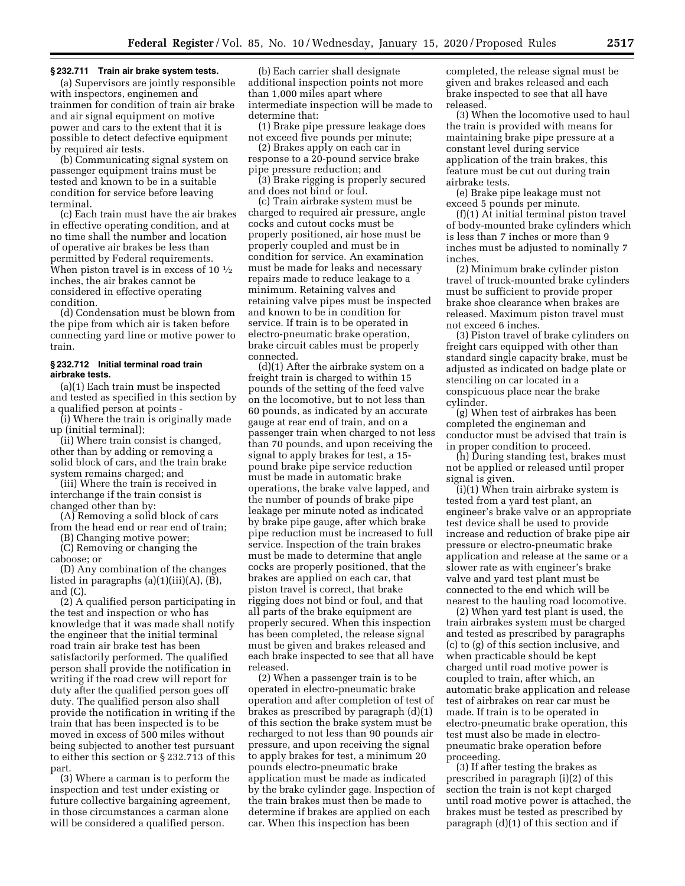#### **§ 232.711 Train air brake system tests.**

(a) Supervisors are jointly responsible with inspectors, enginemen and trainmen for condition of train air brake and air signal equipment on motive power and cars to the extent that it is possible to detect defective equipment by required air tests.

(b) Communicating signal system on passenger equipment trains must be tested and known to be in a suitable condition for service before leaving terminal.

(c) Each train must have the air brakes in effective operating condition, and at no time shall the number and location of operative air brakes be less than permitted by Federal requirements. When piston travel is in excess of 10  $\frac{1}{2}$ inches, the air brakes cannot be considered in effective operating condition.

(d) Condensation must be blown from the pipe from which air is taken before connecting yard line or motive power to train.

## **§ 232.712 Initial terminal road train airbrake tests.**

(a)(1) Each train must be inspected and tested as specified in this section by a qualified person at points -

(i) Where the train is originally made up (initial terminal);

(ii) Where train consist is changed, other than by adding or removing a solid block of cars, and the train brake system remains charged; and

(iii) Where the train is received in interchange if the train consist is changed other than by:

(A) Removing a solid block of cars from the head end or rear end of train;

(B) Changing motive power;

(C) Removing or changing the caboose; or

(D) Any combination of the changes listed in paragraphs (a)(1)(iii)(A), (B), and (C).

(2) A qualified person participating in the test and inspection or who has knowledge that it was made shall notify the engineer that the initial terminal road train air brake test has been satisfactorily performed. The qualified person shall provide the notification in writing if the road crew will report for duty after the qualified person goes off duty. The qualified person also shall provide the notification in writing if the train that has been inspected is to be moved in excess of 500 miles without being subjected to another test pursuant to either this section or § 232.713 of this part.

(3) Where a carman is to perform the inspection and test under existing or future collective bargaining agreement, in those circumstances a carman alone will be considered a qualified person.

(b) Each carrier shall designate additional inspection points not more than 1,000 miles apart where intermediate inspection will be made to determine that:

(1) Brake pipe pressure leakage does not exceed five pounds per minute;

(2) Brakes apply on each car in response to a 20-pound service brake pipe pressure reduction; and

(3) Brake rigging is properly secured and does not bind or foul.

(c) Train airbrake system must be charged to required air pressure, angle cocks and cutout cocks must be properly positioned, air hose must be properly coupled and must be in condition for service. An examination must be made for leaks and necessary repairs made to reduce leakage to a minimum. Retaining valves and retaining valve pipes must be inspected and known to be in condition for service. If train is to be operated in electro-pneumatic brake operation, brake circuit cables must be properly connected.

(d)(1) After the airbrake system on a freight train is charged to within 15 pounds of the setting of the feed valve on the locomotive, but to not less than 60 pounds, as indicated by an accurate gauge at rear end of train, and on a passenger train when charged to not less than 70 pounds, and upon receiving the signal to apply brakes for test, a 15 pound brake pipe service reduction must be made in automatic brake operations, the brake valve lapped, and the number of pounds of brake pipe leakage per minute noted as indicated by brake pipe gauge, after which brake pipe reduction must be increased to full service. Inspection of the train brakes must be made to determine that angle cocks are properly positioned, that the brakes are applied on each car, that piston travel is correct, that brake rigging does not bind or foul, and that all parts of the brake equipment are properly secured. When this inspection has been completed, the release signal must be given and brakes released and each brake inspected to see that all have released.

(2) When a passenger train is to be operated in electro-pneumatic brake operation and after completion of test of brakes as prescribed by paragraph (d)(1) of this section the brake system must be recharged to not less than 90 pounds air pressure, and upon receiving the signal to apply brakes for test, a minimum 20 pounds electro-pneumatic brake application must be made as indicated by the brake cylinder gage. Inspection of the train brakes must then be made to determine if brakes are applied on each car. When this inspection has been

completed, the release signal must be given and brakes released and each brake inspected to see that all have released.

(3) When the locomotive used to haul the train is provided with means for maintaining brake pipe pressure at a constant level during service application of the train brakes, this feature must be cut out during train airbrake tests.

(e) Brake pipe leakage must not exceed 5 pounds per minute.

(f)(1) At initial terminal piston travel of body-mounted brake cylinders which is less than 7 inches or more than 9 inches must be adjusted to nominally 7 inches.

(2) Minimum brake cylinder piston travel of truck-mounted brake cylinders must be sufficient to provide proper brake shoe clearance when brakes are released. Maximum piston travel must not exceed 6 inches.

(3) Piston travel of brake cylinders on freight cars equipped with other than standard single capacity brake, must be adjusted as indicated on badge plate or stenciling on car located in a conspicuous place near the brake cylinder.

(g) When test of airbrakes has been completed the engineman and conductor must be advised that train is in proper condition to proceed.

(h) During standing test, brakes must not be applied or released until proper signal is given.

(i)(1) When train airbrake system is tested from a yard test plant, an engineer's brake valve or an appropriate test device shall be used to provide increase and reduction of brake pipe air pressure or electro-pneumatic brake application and release at the same or a slower rate as with engineer's brake valve and yard test plant must be connected to the end which will be nearest to the hauling road locomotive.

(2) When yard test plant is used, the train airbrakes system must be charged and tested as prescribed by paragraphs (c) to (g) of this section inclusive, and when practicable should be kept charged until road motive power is coupled to train, after which, an automatic brake application and release test of airbrakes on rear car must be made. If train is to be operated in electro-pneumatic brake operation, this test must also be made in electropneumatic brake operation before proceeding.

(3) If after testing the brakes as prescribed in paragraph (i)(2) of this section the train is not kept charged until road motive power is attached, the brakes must be tested as prescribed by paragraph (d)(1) of this section and if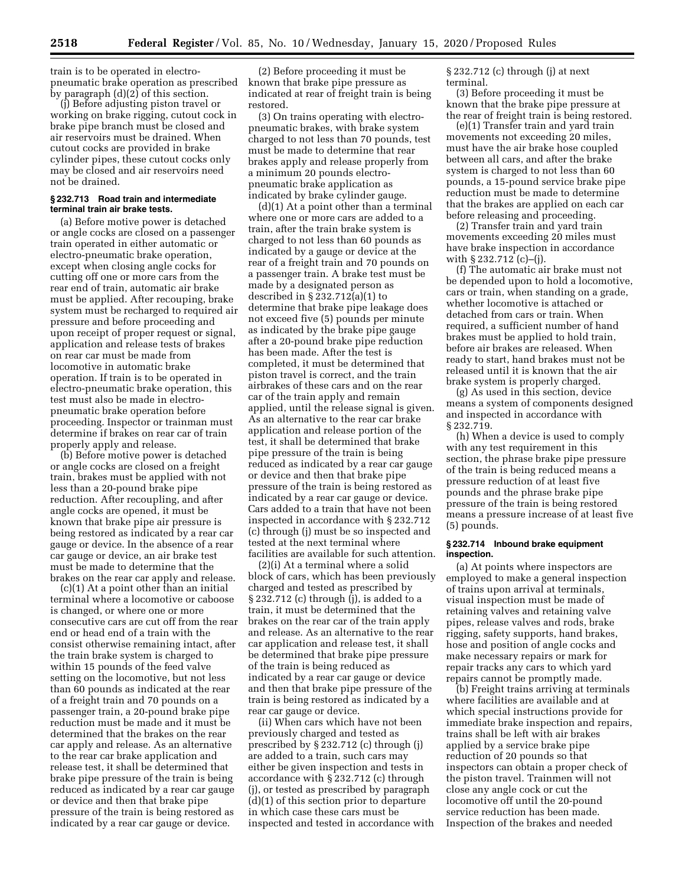train is to be operated in electropneumatic brake operation as prescribed by paragraph (d)(2) of this section.

(j) Before adjusting piston travel or working on brake rigging, cutout cock in brake pipe branch must be closed and air reservoirs must be drained. When cutout cocks are provided in brake cylinder pipes, these cutout cocks only may be closed and air reservoirs need not be drained.

## **§ 232.713 Road train and intermediate terminal train air brake tests.**

(a) Before motive power is detached or angle cocks are closed on a passenger train operated in either automatic or electro-pneumatic brake operation, except when closing angle cocks for cutting off one or more cars from the rear end of train, automatic air brake must be applied. After recouping, brake system must be recharged to required air pressure and before proceeding and upon receipt of proper request or signal, application and release tests of brakes on rear car must be made from locomotive in automatic brake operation. If train is to be operated in electro-pneumatic brake operation, this test must also be made in electropneumatic brake operation before proceeding. Inspector or trainman must determine if brakes on rear car of train properly apply and release.

(b) Before motive power is detached or angle cocks are closed on a freight train, brakes must be applied with not less than a 20-pound brake pipe reduction. After recoupling, and after angle cocks are opened, it must be known that brake pipe air pressure is being restored as indicated by a rear car gauge or device. In the absence of a rear car gauge or device, an air brake test must be made to determine that the brakes on the rear car apply and release.

(c)(1) At a point other than an initial terminal where a locomotive or caboose is changed, or where one or more consecutive cars are cut off from the rear end or head end of a train with the consist otherwise remaining intact, after the train brake system is charged to within 15 pounds of the feed valve setting on the locomotive, but not less than 60 pounds as indicated at the rear of a freight train and 70 pounds on a passenger train, a 20-pound brake pipe reduction must be made and it must be determined that the brakes on the rear car apply and release. As an alternative to the rear car brake application and release test, it shall be determined that brake pipe pressure of the train is being reduced as indicated by a rear car gauge or device and then that brake pipe pressure of the train is being restored as indicated by a rear car gauge or device.

(2) Before proceeding it must be known that brake pipe pressure as indicated at rear of freight train is being restored.

(3) On trains operating with electropneumatic brakes, with brake system charged to not less than 70 pounds, test must be made to determine that rear brakes apply and release properly from a minimum 20 pounds electropneumatic brake application as indicated by brake cylinder gauge.

(d)(1) At a point other than a terminal where one or more cars are added to a train, after the train brake system is charged to not less than 60 pounds as indicated by a gauge or device at the rear of a freight train and 70 pounds on a passenger train. A brake test must be made by a designated person as described in § 232.712(a)(1) to determine that brake pipe leakage does not exceed five (5) pounds per minute as indicated by the brake pipe gauge after a 20-pound brake pipe reduction has been made. After the test is completed, it must be determined that piston travel is correct, and the train airbrakes of these cars and on the rear car of the train apply and remain applied, until the release signal is given. As an alternative to the rear car brake application and release portion of the test, it shall be determined that brake pipe pressure of the train is being reduced as indicated by a rear car gauge or device and then that brake pipe pressure of the train is being restored as indicated by a rear car gauge or device. Cars added to a train that have not been inspected in accordance with § 232.712 (c) through (j) must be so inspected and tested at the next terminal where facilities are available for such attention.

(2)(i) At a terminal where a solid block of cars, which has been previously charged and tested as prescribed by  $\S 232.712$  (c) through (j), is added to a train, it must be determined that the brakes on the rear car of the train apply and release. As an alternative to the rear car application and release test, it shall be determined that brake pipe pressure of the train is being reduced as indicated by a rear car gauge or device and then that brake pipe pressure of the train is being restored as indicated by a rear car gauge or device.

(ii) When cars which have not been previously charged and tested as prescribed by § 232.712 (c) through (j) are added to a train, such cars may either be given inspection and tests in accordance with § 232.712 (c) through (j), or tested as prescribed by paragraph (d)(1) of this section prior to departure in which case these cars must be inspected and tested in accordance with § 232.712 (c) through (j) at next terminal.

(3) Before proceeding it must be known that the brake pipe pressure at the rear of freight train is being restored.

(e)(1) Transfer train and yard train movements not exceeding 20 miles, must have the air brake hose coupled between all cars, and after the brake system is charged to not less than 60 pounds, a 15-pound service brake pipe reduction must be made to determine that the brakes are applied on each car before releasing and proceeding.

(2) Transfer train and yard train movements exceeding 20 miles must have brake inspection in accordance with § 232.712 (c)–(j).

(f) The automatic air brake must not be depended upon to hold a locomotive, cars or train, when standing on a grade, whether locomotive is attached or detached from cars or train. When required, a sufficient number of hand brakes must be applied to hold train, before air brakes are released. When ready to start, hand brakes must not be released until it is known that the air brake system is properly charged.

(g) As used in this section, device means a system of components designed and inspected in accordance with § 232.719.

(h) When a device is used to comply with any test requirement in this section, the phrase brake pipe pressure of the train is being reduced means a pressure reduction of at least five pounds and the phrase brake pipe pressure of the train is being restored means a pressure increase of at least five (5) pounds.

## **§ 232.714 Inbound brake equipment inspection.**

(a) At points where inspectors are employed to make a general inspection of trains upon arrival at terminals, visual inspection must be made of retaining valves and retaining valve pipes, release valves and rods, brake rigging, safety supports, hand brakes, hose and position of angle cocks and make necessary repairs or mark for repair tracks any cars to which yard repairs cannot be promptly made.

(b) Freight trains arriving at terminals where facilities are available and at which special instructions provide for immediate brake inspection and repairs, trains shall be left with air brakes applied by a service brake pipe reduction of 20 pounds so that inspectors can obtain a proper check of the piston travel. Trainmen will not close any angle cock or cut the locomotive off until the 20-pound service reduction has been made. Inspection of the brakes and needed